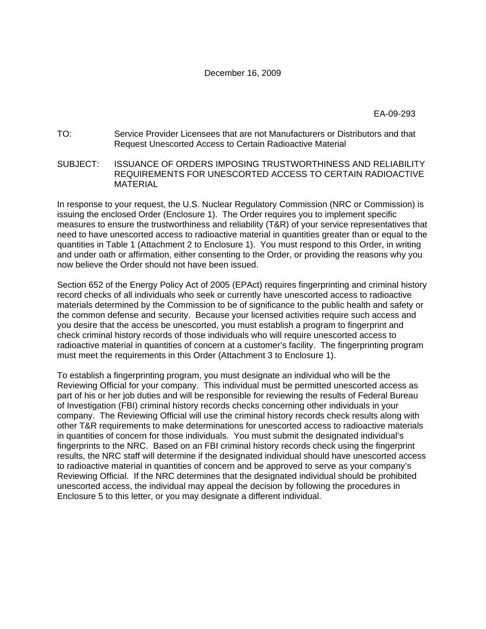EA-09-293

- TO: Service Provider Licensees that are not Manufacturers or Distributors and that Request Unescorted Access to Certain Radioactive Material
- SUBJECT: ISSUANCE OF ORDERS IMPOSING TRUSTWORTHINESS AND RELIABILITY REQUIREMENTS FOR UNESCORTED ACCESS TO CERTAIN RADIOACTIVE MATERIAL

In response to your request, the U.S. Nuclear Regulatory Commission (NRC or Commission) is issuing the enclosed Order (Enclosure 1). The Order requires you to implement specific measures to ensure the trustworthiness and reliability (T&R) of your service representatives that need to have unescorted access to radioactive material in quantities greater than or equal to the quantities in Table 1 (Attachment 2 to Enclosure 1). You must respond to this Order, in writing and under oath or affirmation, either consenting to the Order, or providing the reasons why you now believe the Order should not have been issued.

Section 652 of the Energy Policy Act of 2005 (EPAct) requires fingerprinting and criminal history record checks of all individuals who seek or currently have unescorted access to radioactive materials determined by the Commission to be of significance to the public health and safety or the common defense and security. Because your licensed activities require such access and you desire that the access be unescorted, you must establish a program to fingerprint and check criminal history records of those individuals who will require unescorted access to radioactive material in quantities of concern at a customer's facility. The fingerprinting program must meet the requirements in this Order (Attachment 3 to Enclosure 1).

To establish a fingerprinting program, you must designate an individual who will be the Reviewing Official for your company. This individual must be permitted unescorted access as part of his or her job duties and will be responsible for reviewing the results of Federal Bureau of Investigation (FBI) criminal history records checks concerning other individuals in your company. The Reviewing Official will use the criminal history records check results along with other T&R requirements to make determinations for unescorted access to radioactive materials in quantities of concern for those individuals. You must submit the designated individual's fingerprints to the NRC. Based on an FBI criminal history records check using the fingerprint results, the NRC staff will determine if the designated individual should have unescorted access to radioactive material in quantities of concern and be approved to serve as your company's Reviewing Official. If the NRC determines that the designated individual should be prohibited unescorted access, the individual may appeal the decision by following the procedures in Enclosure 5 to this letter, or you may designate a different individual.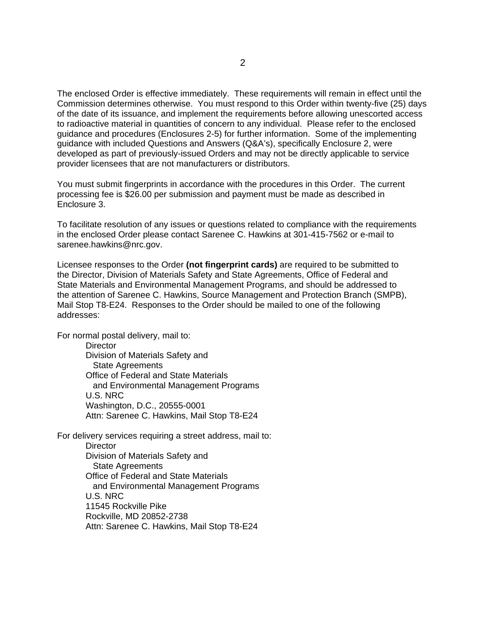The enclosed Order is effective immediately. These requirements will remain in effect until the Commission determines otherwise. You must respond to this Order within twenty-five (25) days of the date of its issuance, and implement the requirements before allowing unescorted access to radioactive material in quantities of concern to any individual. Please refer to the enclosed guidance and procedures (Enclosures 2-5) for further information. Some of the implementing guidance with included Questions and Answers (Q&A's), specifically Enclosure 2, were developed as part of previously-issued Orders and may not be directly applicable to service provider licensees that are not manufacturers or distributors.

You must submit fingerprints in accordance with the procedures in this Order. The current processing fee is \$26.00 per submission and payment must be made as described in Enclosure 3.

To facilitate resolution of any issues or questions related to compliance with the requirements in the enclosed Order please contact Sarenee C. Hawkins at 301-415-7562 or e-mail to sarenee.hawkins@nrc.gov.

Licensee responses to the Order **(not fingerprint cards)** are required to be submitted to the Director, Division of Materials Safety and State Agreements, Office of Federal and State Materials and Environmental Management Programs, and should be addressed to the attention of Sarenee C. Hawkins, Source Management and Protection Branch (SMPB), Mail Stop T8-E24. Responses to the Order should be mailed to one of the following addresses:

For normal postal delivery, mail to:

**Director** Division of Materials Safety and State Agreements Office of Federal and State Materials and Environmental Management Programs U.S. NRC Washington, D.C., 20555-0001 Attn: Sarenee C. Hawkins, Mail Stop T8-E24

For delivery services requiring a street address, mail to: **Director** Division of Materials Safety and State Agreements Office of Federal and State Materials and Environmental Management Programs U.S. NRC 11545 Rockville Pike Rockville, MD 20852-2738 Attn: Sarenee C. Hawkins, Mail Stop T8-E24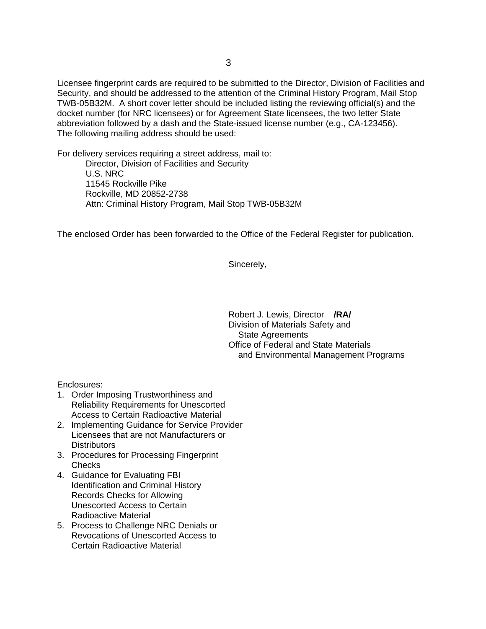Licensee fingerprint cards are required to be submitted to the Director, Division of Facilities and Security, and should be addressed to the attention of the Criminal History Program, Mail Stop TWB-05B32M. A short cover letter should be included listing the reviewing official(s) and the docket number (for NRC licensees) or for Agreement State licensees, the two letter State abbreviation followed by a dash and the State-issued license number (e.g., CA-123456). The following mailing address should be used:

For delivery services requiring a street address, mail to:

Director, Division of Facilities and Security U.S. NRC 11545 Rockville Pike Rockville, MD 20852-2738 Attn: Criminal History Program, Mail Stop TWB-05B32M

The enclosed Order has been forwarded to the Office of the Federal Register for publication.

Sincerely,

Robert J. Lewis, Director **/RA/** Division of Materials Safety and State Agreements Office of Federal and State Materials and Environmental Management Programs

Enclosures:

- 1. Order Imposing Trustworthiness and Reliability Requirements for Unescorted Access to Certain Radioactive Material
- 2. Implementing Guidance for Service Provider Licensees that are not Manufacturers or **Distributors**
- 3. Procedures for Processing Fingerprint **Checks**
- 4. Guidance for Evaluating FBI Identification and Criminal History Records Checks for Allowing Unescorted Access to Certain Radioactive Material
- 5. Process to Challenge NRC Denials or Revocations of Unescorted Access to Certain Radioactive Material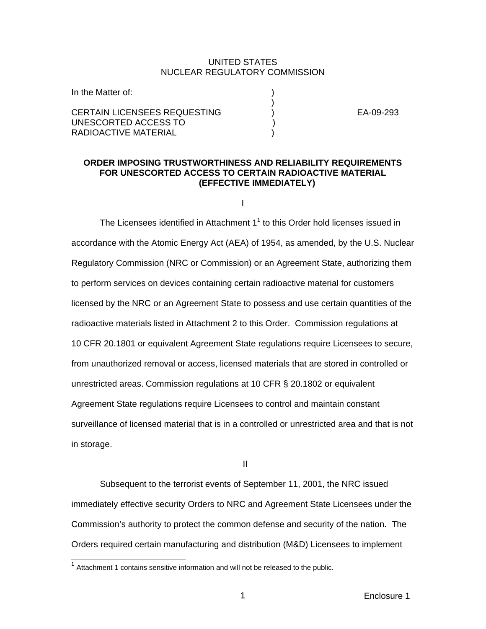#### UNITED STATES NUCLEAR REGULATORY COMMISSION

| In the Matter of:                   |  |
|-------------------------------------|--|
|                                     |  |
| <b>CERTAIN LICENSEES REQUESTING</b> |  |
| UNESCORTED ACCESS TO                |  |
| RADIOACTIVE MATERIAL                |  |

(a)  $\overline{EA}$ -09-293

# **ORDER IMPOSING TRUSTWORTHINESS AND RELIABILITY REQUIREMENTS FOR UNESCORTED ACCESS TO CERTAIN RADIOACTIVE MATERIAL (EFFECTIVE IMMEDIATELY)**

I

The Licensees identified in Attachment  $1<sup>1</sup>$  to this Order hold licenses issued in accordance with the Atomic Energy Act (AEA) of 1954, as amended, by the U.S. Nuclear Regulatory Commission (NRC or Commission) or an Agreement State, authorizing them to perform services on devices containing certain radioactive material for customers licensed by the NRC or an Agreement State to possess and use certain quantities of the radioactive materials listed in Attachment 2 to this Order. Commission regulations at 10 CFR 20.1801 or equivalent Agreement State regulations require Licensees to secure, from unauthorized removal or access, licensed materials that are stored in controlled or unrestricted areas. Commission regulations at 10 CFR § 20.1802 or equivalent Agreement State regulations require Licensees to control and maintain constant surveillance of licensed material that is in a controlled or unrestricted area and that is not in storage.

**III** and the state of the state of the state of the state of the state of the state of the state of the state of the state of the state of the state of the state of the state of the state of the state of the state of the

Subsequent to the terrorist events of September 11, 2001, the NRC issued immediately effective security Orders to NRC and Agreement State Licensees under the Commission's authority to protect the common defense and security of the nation. The Orders required certain manufacturing and distribution (M&D) Licensees to implement

 $\overline{a}$ 

 $1$  Attachment 1 contains sensitive information and will not be released to the public.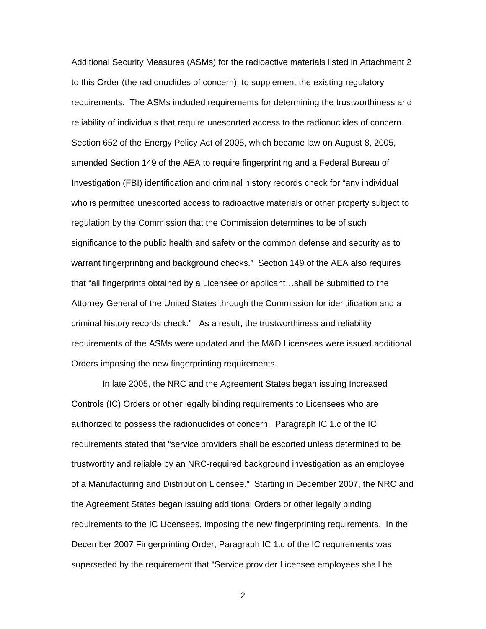Additional Security Measures (ASMs) for the radioactive materials listed in Attachment 2 to this Order (the radionuclides of concern), to supplement the existing regulatory requirements. The ASMs included requirements for determining the trustworthiness and reliability of individuals that require unescorted access to the radionuclides of concern. Section 652 of the Energy Policy Act of 2005, which became law on August 8, 2005, amended Section 149 of the AEA to require fingerprinting and a Federal Bureau of Investigation (FBI) identification and criminal history records check for "any individual who is permitted unescorted access to radioactive materials or other property subject to regulation by the Commission that the Commission determines to be of such significance to the public health and safety or the common defense and security as to warrant fingerprinting and background checks." Section 149 of the AEA also requires that "all fingerprints obtained by a Licensee or applicant…shall be submitted to the Attorney General of the United States through the Commission for identification and a criminal history records check." As a result, the trustworthiness and reliability requirements of the ASMs were updated and the M&D Licensees were issued additional Orders imposing the new fingerprinting requirements.

 In late 2005, the NRC and the Agreement States began issuing Increased Controls (IC) Orders or other legally binding requirements to Licensees who are authorized to possess the radionuclides of concern. Paragraph IC 1.c of the IC requirements stated that "service providers shall be escorted unless determined to be trustworthy and reliable by an NRC-required background investigation as an employee of a Manufacturing and Distribution Licensee." Starting in December 2007, the NRC and the Agreement States began issuing additional Orders or other legally binding requirements to the IC Licensees, imposing the new fingerprinting requirements. In the December 2007 Fingerprinting Order, Paragraph IC 1.c of the IC requirements was superseded by the requirement that "Service provider Licensee employees shall be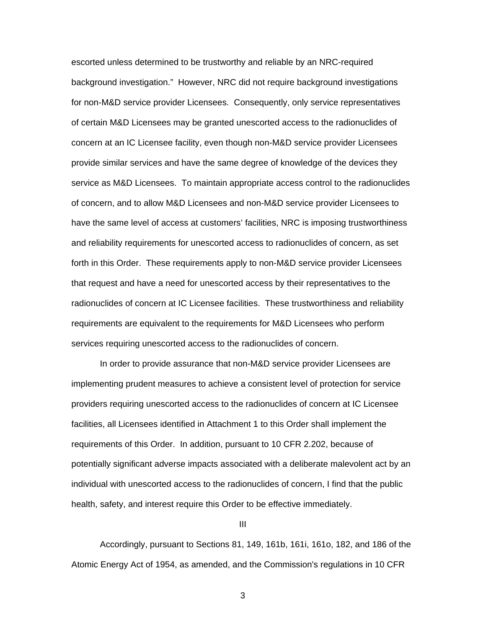escorted unless determined to be trustworthy and reliable by an NRC-required background investigation." However, NRC did not require background investigations for non-M&D service provider Licensees. Consequently, only service representatives of certain M&D Licensees may be granted unescorted access to the radionuclides of concern at an IC Licensee facility, even though non-M&D service provider Licensees provide similar services and have the same degree of knowledge of the devices they service as M&D Licensees. To maintain appropriate access control to the radionuclides of concern, and to allow M&D Licensees and non-M&D service provider Licensees to have the same level of access at customers' facilities, NRC is imposing trustworthiness and reliability requirements for unescorted access to radionuclides of concern, as set forth in this Order. These requirements apply to non-M&D service provider Licensees that request and have a need for unescorted access by their representatives to the radionuclides of concern at IC Licensee facilities. These trustworthiness and reliability requirements are equivalent to the requirements for M&D Licensees who perform services requiring unescorted access to the radionuclides of concern.

 In order to provide assurance that non-M&D service provider Licensees are implementing prudent measures to achieve a consistent level of protection for service providers requiring unescorted access to the radionuclides of concern at IC Licensee facilities, all Licensees identified in Attachment 1 to this Order shall implement the requirements of this Order. In addition, pursuant to 10 CFR 2.202, because of potentially significant adverse impacts associated with a deliberate malevolent act by an individual with unescorted access to the radionuclides of concern, I find that the public health, safety, and interest require this Order to be effective immediately.

III

Accordingly, pursuant to Sections 81, 149, 161b, 161i, 161o, 182, and 186 of the Atomic Energy Act of 1954, as amended, and the Commission's regulations in 10 CFR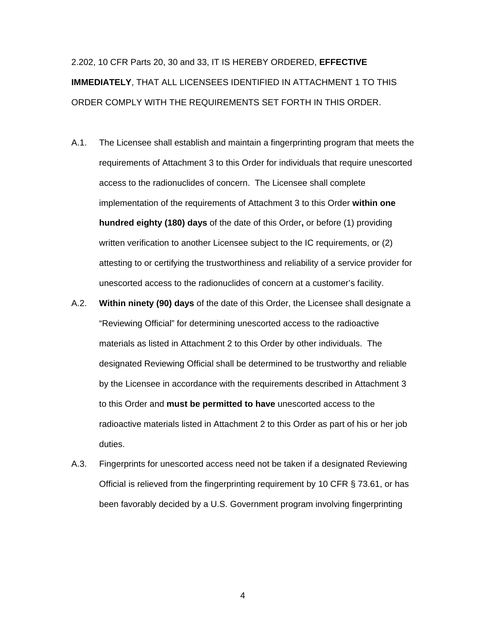2.202, 10 CFR Parts 20, 30 and 33, IT IS HEREBY ORDERED, **EFFECTIVE IMMEDIATELY**, THAT ALL LICENSEES IDENTIFIED IN ATTACHMENT 1 TO THIS ORDER COMPLY WITH THE REQUIREMENTS SET FORTH IN THIS ORDER.

- A.1. The Licensee shall establish and maintain a fingerprinting program that meets the requirements of Attachment 3 to this Order for individuals that require unescorted access to the radionuclides of concern. The Licensee shall complete implementation of the requirements of Attachment 3 to this Order **within one hundred eighty (180) days** of the date of this Order**,** or before (1) providing written verification to another Licensee subject to the IC requirements, or (2) attesting to or certifying the trustworthiness and reliability of a service provider for unescorted access to the radionuclides of concern at a customer's facility.
- A.2. **Within ninety (90) days** of the date of this Order, the Licensee shall designate a "Reviewing Official" for determining unescorted access to the radioactive materials as listed in Attachment 2 to this Order by other individuals. The designated Reviewing Official shall be determined to be trustworthy and reliable by the Licensee in accordance with the requirements described in Attachment 3 to this Order and **must be permitted to have** unescorted access to the radioactive materials listed in Attachment 2 to this Order as part of his or her job duties.
- A.3. Fingerprints for unescorted access need not be taken if a designated Reviewing Official is relieved from the fingerprinting requirement by 10 CFR § 73.61, or has been favorably decided by a U.S. Government program involving fingerprinting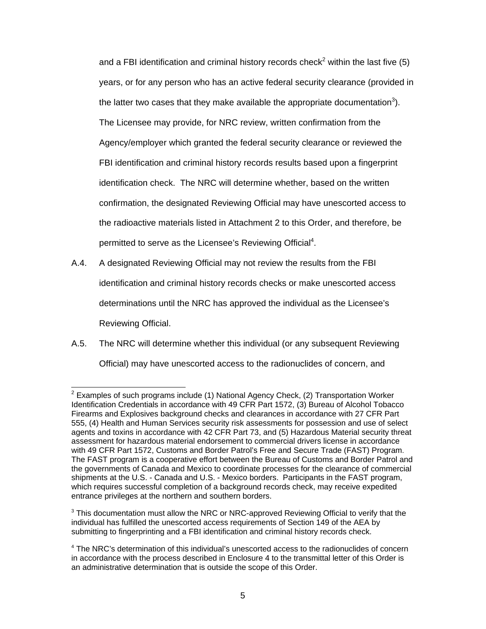and a FBI identification and criminal history records check<sup>2</sup> within the last five (5) years, or for any person who has an active federal security clearance (provided in the latter two cases that they make available the appropriate documentation<sup>3</sup>). The Licensee may provide, for NRC review, written confirmation from the Agency/employer which granted the federal security clearance or reviewed the FBI identification and criminal history records results based upon a fingerprint identification check. The NRC will determine whether, based on the written confirmation, the designated Reviewing Official may have unescorted access to the radioactive materials listed in Attachment 2 to this Order, and therefore, be permitted to serve as the Licensee's Reviewing Official<sup>4</sup>.

- A.4. A designated Reviewing Official may not review the results from the FBI identification and criminal history records checks or make unescorted access determinations until the NRC has approved the individual as the Licensee's Reviewing Official.
- A.5. The NRC will determine whether this individual (or any subsequent Reviewing Official) may have unescorted access to the radionuclides of concern, and

 $3$  This documentation must allow the NRC or NRC-approved Reviewing Official to verify that the individual has fulfilled the unescorted access requirements of Section 149 of the AEA by submitting to fingerprinting and a FBI identification and criminal history records check.

 2 Examples of such programs include (1) National Agency Check, (2) Transportation Worker Identification Credentials in accordance with 49 CFR Part 1572, (3) Bureau of Alcohol Tobacco Firearms and Explosives background checks and clearances in accordance with 27 CFR Part 555, (4) Health and Human Services security risk assessments for possession and use of select agents and toxins in accordance with 42 CFR Part 73, and (5) Hazardous Material security threat assessment for hazardous material endorsement to commercial drivers license in accordance with 49 CFR Part 1572, Customs and Border Patrol's Free and Secure Trade (FAST) Program. The FAST program is a cooperative effort between the Bureau of Customs and Border Patrol and the governments of Canada and Mexico to coordinate processes for the clearance of commercial shipments at the U.S. - Canada and U.S. - Mexico borders. Participants in the FAST program, which requires successful completion of a background records check, may receive expedited entrance privileges at the northern and southern borders.

<sup>&</sup>lt;sup>4</sup> The NRC's determination of this individual's unescorted access to the radionuclides of concern in accordance with the process described in Enclosure 4 to the transmittal letter of this Order is an administrative determination that is outside the scope of this Order.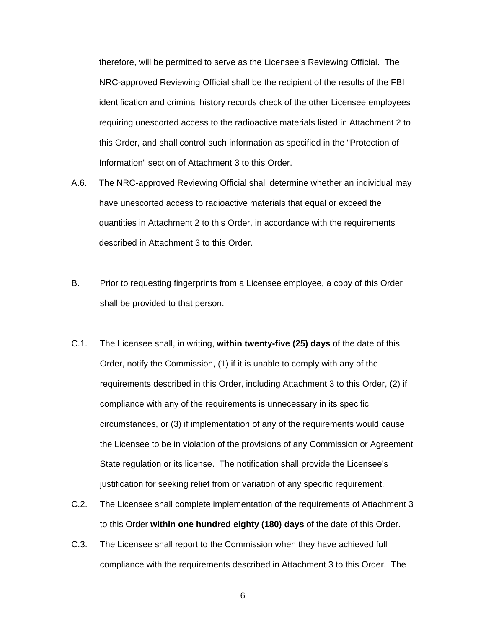therefore, will be permitted to serve as the Licensee's Reviewing Official. The NRC-approved Reviewing Official shall be the recipient of the results of the FBI identification and criminal history records check of the other Licensee employees requiring unescorted access to the radioactive materials listed in Attachment 2 to this Order, and shall control such information as specified in the "Protection of Information" section of Attachment 3 to this Order.

- A.6. The NRC-approved Reviewing Official shall determine whether an individual may have unescorted access to radioactive materials that equal or exceed the quantities in Attachment 2 to this Order, in accordance with the requirements described in Attachment 3 to this Order.
- B. Prior to requesting fingerprints from a Licensee employee, a copy of this Order shall be provided to that person.
- C.1. The Licensee shall, in writing, **within twenty-five (25) days** of the date of this Order, notify the Commission, (1) if it is unable to comply with any of the requirements described in this Order, including Attachment 3 to this Order, (2) if compliance with any of the requirements is unnecessary in its specific circumstances, or (3) if implementation of any of the requirements would cause the Licensee to be in violation of the provisions of any Commission or Agreement State regulation or its license. The notification shall provide the Licensee's justification for seeking relief from or variation of any specific requirement.
- C.2. The Licensee shall complete implementation of the requirements of Attachment 3 to this Order **within one hundred eighty (180) days** of the date of this Order.
- C.3. The Licensee shall report to the Commission when they have achieved full compliance with the requirements described in Attachment 3 to this Order. The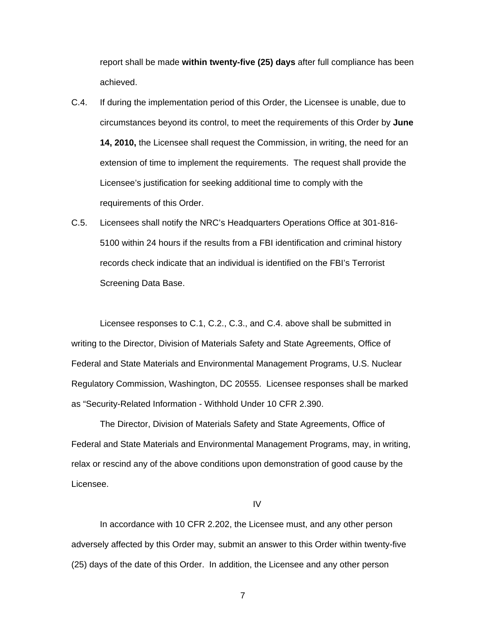report shall be made **within twenty-five (25) days** after full compliance has been achieved.

- C.4. If during the implementation period of this Order, the Licensee is unable, due to circumstances beyond its control, to meet the requirements of this Order by **June 14, 2010,** the Licensee shall request the Commission, in writing, the need for an extension of time to implement the requirements. The request shall provide the Licensee's justification for seeking additional time to comply with the requirements of this Order.
- C.5. Licensees shall notify the NRC's Headquarters Operations Office at 301-816- 5100 within 24 hours if the results from a FBI identification and criminal history records check indicate that an individual is identified on the FBI's Terrorist Screening Data Base.

 Licensee responses to C.1, C.2., C.3., and C.4. above shall be submitted in writing to the Director, Division of Materials Safety and State Agreements, Office of Federal and State Materials and Environmental Management Programs, U.S. Nuclear Regulatory Commission, Washington, DC 20555. Licensee responses shall be marked as "Security-Related Information - Withhold Under 10 CFR 2.390.

The Director, Division of Materials Safety and State Agreements, Office of Federal and State Materials and Environmental Management Programs, may, in writing, relax or rescind any of the above conditions upon demonstration of good cause by the Licensee.

IV

 In accordance with 10 CFR 2.202, the Licensee must, and any other person adversely affected by this Order may, submit an answer to this Order within twenty-five (25) days of the date of this Order. In addition, the Licensee and any other person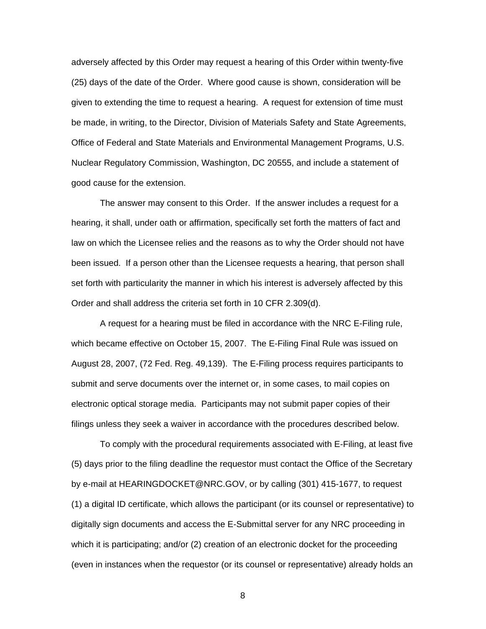adversely affected by this Order may request a hearing of this Order within twenty-five (25) days of the date of the Order. Where good cause is shown, consideration will be given to extending the time to request a hearing. A request for extension of time must be made, in writing, to the Director, Division of Materials Safety and State Agreements, Office of Federal and State Materials and Environmental Management Programs, U.S. Nuclear Regulatory Commission, Washington, DC 20555, and include a statement of good cause for the extension.

 The answer may consent to this Order. If the answer includes a request for a hearing, it shall, under oath or affirmation, specifically set forth the matters of fact and law on which the Licensee relies and the reasons as to why the Order should not have been issued. If a person other than the Licensee requests a hearing, that person shall set forth with particularity the manner in which his interest is adversely affected by this Order and shall address the criteria set forth in 10 CFR 2.309(d).

 A request for a hearing must be filed in accordance with the NRC E-Filing rule, which became effective on October 15, 2007. The E-Filing Final Rule was issued on August 28, 2007, (72 Fed. Reg. 49,139). The E-Filing process requires participants to submit and serve documents over the internet or, in some cases, to mail copies on electronic optical storage media. Participants may not submit paper copies of their filings unless they seek a waiver in accordance with the procedures described below.

 To comply with the procedural requirements associated with E-Filing, at least five (5) days prior to the filing deadline the requestor must contact the Office of the Secretary by e-mail at HEARINGDOCKET@NRC.GOV, or by calling (301) 415-1677, to request (1) a digital ID certificate, which allows the participant (or its counsel or representative) to digitally sign documents and access the E-Submittal server for any NRC proceeding in which it is participating; and/or (2) creation of an electronic docket for the proceeding (even in instances when the requestor (or its counsel or representative) already holds an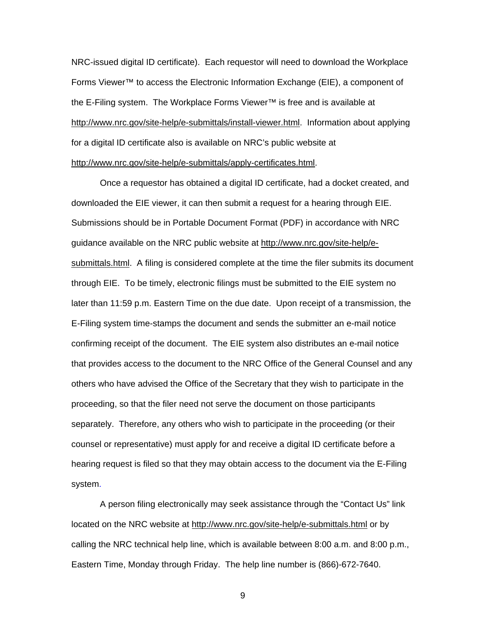NRC-issued digital ID certificate). Each requestor will need to download the Workplace Forms Viewer™ to access the Electronic Information Exchange (EIE), a component of the E-Filing system. The Workplace Forms Viewer™ is free and is available at http://www.nrc.gov/site-help/e-submittals/install-viewer.html. Information about applying for a digital ID certificate also is available on NRC's public website at http://www.nrc.gov/site-help/e-submittals/apply-certificates.html.

 Once a requestor has obtained a digital ID certificate, had a docket created, and downloaded the EIE viewer, it can then submit a request for a hearing through EIE. Submissions should be in Portable Document Format (PDF) in accordance with NRC guidance available on the NRC public website at http://www.nrc.gov/site-help/esubmittals.html. A filing is considered complete at the time the filer submits its document through EIE. To be timely, electronic filings must be submitted to the EIE system no later than 11:59 p.m. Eastern Time on the due date. Upon receipt of a transmission, the E-Filing system time-stamps the document and sends the submitter an e-mail notice confirming receipt of the document. The EIE system also distributes an e-mail notice that provides access to the document to the NRC Office of the General Counsel and any others who have advised the Office of the Secretary that they wish to participate in the proceeding, so that the filer need not serve the document on those participants separately. Therefore, any others who wish to participate in the proceeding (or their counsel or representative) must apply for and receive a digital ID certificate before a hearing request is filed so that they may obtain access to the document via the E-Filing system.

 A person filing electronically may seek assistance through the "Contact Us" link located on the NRC website at http://www.nrc.gov/site-help/e-submittals.html or by calling the NRC technical help line, which is available between 8:00 a.m. and 8:00 p.m., Eastern Time, Monday through Friday. The help line number is (866)-672-7640.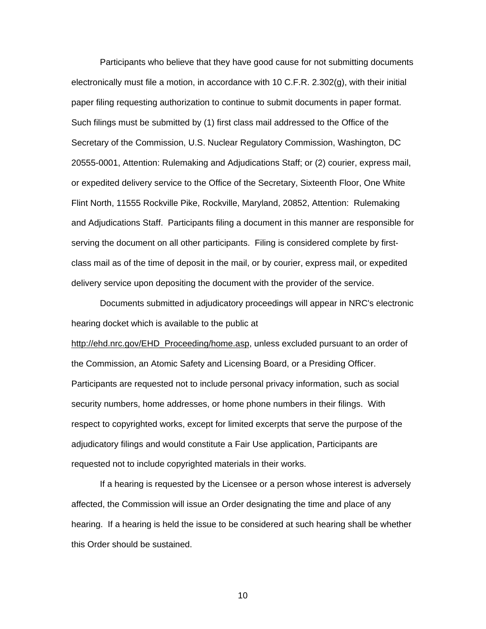Participants who believe that they have good cause for not submitting documents electronically must file a motion, in accordance with 10 C.F.R. 2.302(g), with their initial paper filing requesting authorization to continue to submit documents in paper format. Such filings must be submitted by (1) first class mail addressed to the Office of the Secretary of the Commission, U.S. Nuclear Regulatory Commission, Washington, DC 20555-0001, Attention: Rulemaking and Adjudications Staff; or (2) courier, express mail, or expedited delivery service to the Office of the Secretary, Sixteenth Floor, One White Flint North, 11555 Rockville Pike, Rockville, Maryland, 20852, Attention: Rulemaking and Adjudications Staff. Participants filing a document in this manner are responsible for serving the document on all other participants. Filing is considered complete by firstclass mail as of the time of deposit in the mail, or by courier, express mail, or expedited delivery service upon depositing the document with the provider of the service.

 Documents submitted in adjudicatory proceedings will appear in NRC's electronic hearing docket which is available to the public at

http://ehd.nrc.gov/EHD\_Proceeding/home.asp, unless excluded pursuant to an order of the Commission, an Atomic Safety and Licensing Board, or a Presiding Officer. Participants are requested not to include personal privacy information, such as social security numbers, home addresses, or home phone numbers in their filings. With respect to copyrighted works, except for limited excerpts that serve the purpose of the adjudicatory filings and would constitute a Fair Use application, Participants are requested not to include copyrighted materials in their works.

 If a hearing is requested by the Licensee or a person whose interest is adversely affected, the Commission will issue an Order designating the time and place of any hearing. If a hearing is held the issue to be considered at such hearing shall be whether this Order should be sustained.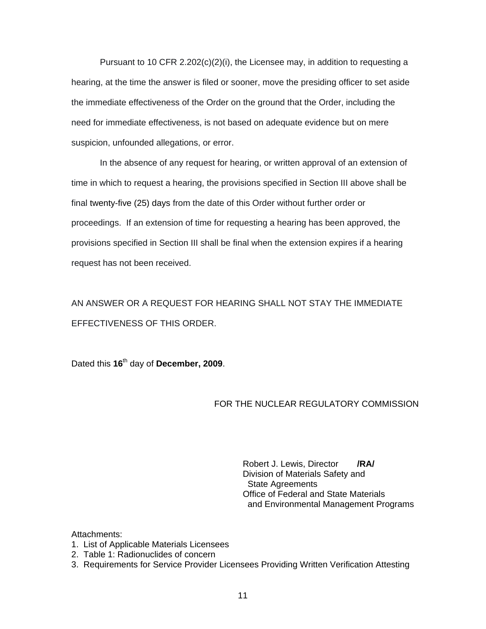Pursuant to 10 CFR 2.202(c)(2)(i), the Licensee may, in addition to requesting a hearing, at the time the answer is filed or sooner, move the presiding officer to set aside the immediate effectiveness of the Order on the ground that the Order, including the need for immediate effectiveness, is not based on adequate evidence but on mere suspicion, unfounded allegations, or error.

 In the absence of any request for hearing, or written approval of an extension of time in which to request a hearing, the provisions specified in Section III above shall be final twenty-five (25) days from the date of this Order without further order or proceedings. If an extension of time for requesting a hearing has been approved, the provisions specified in Section III shall be final when the extension expires if a hearing request has not been received.

AN ANSWER OR A REQUEST FOR HEARING SHALL NOT STAY THE IMMEDIATE EFFECTIVENESS OF THIS ORDER.

Dated this **16**th day of **December, 2009**.

# FOR THE NUCLEAR REGULATORY COMMISSION

Robert J. Lewis, Director **/RA/** Division of Materials Safety and State Agreements Office of Federal and State Materials and Environmental Management Programs

Attachments:

- 1. List of Applicable Materials Licensees
- 2. Table 1: Radionuclides of concern
- 3. Requirements for Service Provider Licensees Providing Written Verification Attesting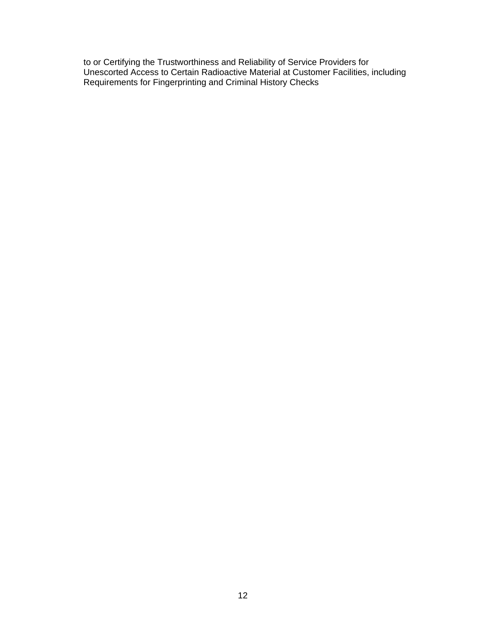to or Certifying the Trustworthiness and Reliability of Service Providers for Unescorted Access to Certain Radioactive Material at Customer Facilities, including Requirements for Fingerprinting and Criminal History Checks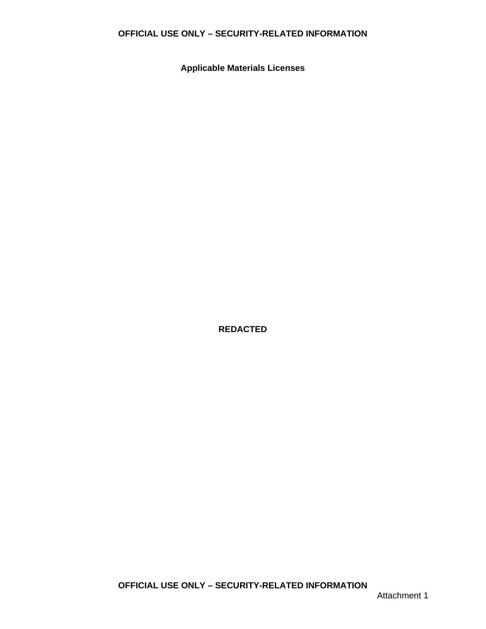# **OFFICIAL USE ONLY – SECURITY-RELATED INFORMATION**

**Applicable Materials Licenses** 

**REDACTED**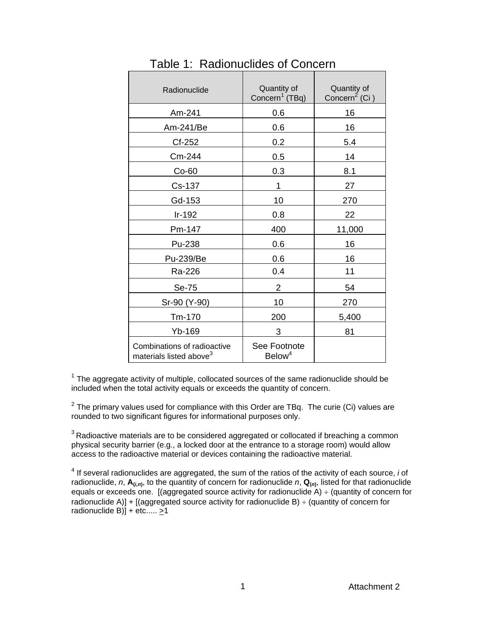| Radionuclide                                                       | Quantity of<br>Concern <sup>1</sup> (TBq) | Quantity of<br>Concern <sup>2</sup> (Ci) |
|--------------------------------------------------------------------|-------------------------------------------|------------------------------------------|
| Am-241                                                             | 0.6                                       | 16                                       |
| Am-241/Be                                                          | 0.6                                       | 16                                       |
| Cf-252                                                             | 0.2                                       | 5.4                                      |
| Cm-244                                                             | 0.5                                       | 14                                       |
| $Co-60$                                                            | 0.3                                       | 8.1                                      |
| Cs-137                                                             | 1                                         | 27                                       |
| Gd-153                                                             | 10                                        | 270                                      |
| Ir-192                                                             | 0.8                                       | 22                                       |
| Pm-147                                                             | 400                                       | 11,000                                   |
| Pu-238                                                             | 0.6                                       | 16                                       |
| Pu-239/Be                                                          | 0.6                                       | 16                                       |
| Ra-226                                                             | 0.4                                       | 11                                       |
| Se-75                                                              | $\overline{2}$                            | 54                                       |
| Sr-90 (Y-90)                                                       | 10                                        | 270                                      |
| Tm-170                                                             | 200                                       | 5,400                                    |
| Yb-169                                                             | 3                                         | 81                                       |
| Combinations of radioactive<br>materials listed above <sup>3</sup> | See Footnote<br>Below <sup>4</sup>        |                                          |

Table 1: Radionuclides of Concern

 $1$  The aggregate activity of multiple, collocated sources of the same radionuclide should be included when the total activity equals or exceeds the quantity of concern.

 $2$  The primary values used for compliance with this Order are TBq. The curie (Ci) values are rounded to two significant figures for informational purposes only.

 $3$  Radioactive materials are to be considered aggregated or collocated if breaching a common physical security barrier (e.g., a locked door at the entrance to a storage room) would allow access to the radioactive material or devices containing the radioactive material.

4 If several radionuclides are aggregated, the sum of the ratios of the activity of each source, *i* of radionuclide, *n*,  $A_{(i,n)}$ , to the quantity of concern for radionuclide *n*,  $Q_{(n)}$ , listed for that radionuclide equals or exceeds one. [(aggregated source activity for radionuclide  $\overline{A}$ ) ÷ (quantity of concern for radionuclide A)] + [(aggregated source activity for radionuclide B)  $\div$  (quantity of concern for radionuclide B) $] +$ etc.....  $\geq 1$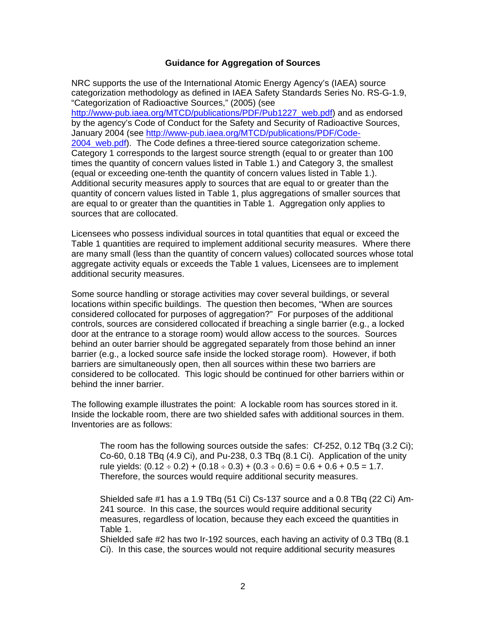#### **Guidance for Aggregation of Sources**

NRC supports the use of the International Atomic Energy Agency's (IAEA) source categorization methodology as defined in IAEA Safety Standards Series No. RS-G-1.9, "Categorization of Radioactive Sources," (2005) (see

http://www-pub.iaea.org/MTCD/publications/PDF/Pub1227\_web.pdf) and as endorsed by the agency's Code of Conduct for the Safety and Security of Radioactive Sources, January 2004 (see http://www-pub.iaea.org/MTCD/publications/PDF/Code-2004\_web.pdf). The Code defines a three-tiered source categorization scheme. Category 1 corresponds to the largest source strength (equal to or greater than 100 times the quantity of concern values listed in Table 1.) and Category 3, the smallest (equal or exceeding one-tenth the quantity of concern values listed in Table 1.). Additional security measures apply to sources that are equal to or greater than the quantity of concern values listed in Table 1, plus aggregations of smaller sources that are equal to or greater than the quantities in Table 1. Aggregation only applies to sources that are collocated.

Licensees who possess individual sources in total quantities that equal or exceed the Table 1 quantities are required to implement additional security measures. Where there are many small (less than the quantity of concern values) collocated sources whose total aggregate activity equals or exceeds the Table 1 values, Licensees are to implement additional security measures.

Some source handling or storage activities may cover several buildings, or several locations within specific buildings. The question then becomes, "When are sources considered collocated for purposes of aggregation?" For purposes of the additional controls, sources are considered collocated if breaching a single barrier (e.g., a locked door at the entrance to a storage room) would allow access to the sources. Sources behind an outer barrier should be aggregated separately from those behind an inner barrier (e.g., a locked source safe inside the locked storage room). However, if both barriers are simultaneously open, then all sources within these two barriers are considered to be collocated. This logic should be continued for other barriers within or behind the inner barrier.

The following example illustrates the point: A lockable room has sources stored in it. Inside the lockable room, there are two shielded safes with additional sources in them. Inventories are as follows:

The room has the following sources outside the safes: Cf-252, 0.12 TBq (3.2 Ci); Co-60, 0.18 TBq (4.9 Ci), and Pu-238, 0.3 TBq (8.1 Ci). Application of the unity rule yields:  $(0.12 \div 0.2) + (0.18 \div 0.3) + (0.3 \div 0.6) = 0.6 + 0.6 + 0.5 = 1.7$ . Therefore, the sources would require additional security measures.

Shielded safe #1 has a 1.9 TBq (51 Ci) Cs-137 source and a 0.8 TBq (22 Ci) Am-241 source. In this case, the sources would require additional security measures, regardless of location, because they each exceed the quantities in Table 1.

Shielded safe #2 has two Ir-192 sources, each having an activity of 0.3 TBq (8.1 Ci). In this case, the sources would not require additional security measures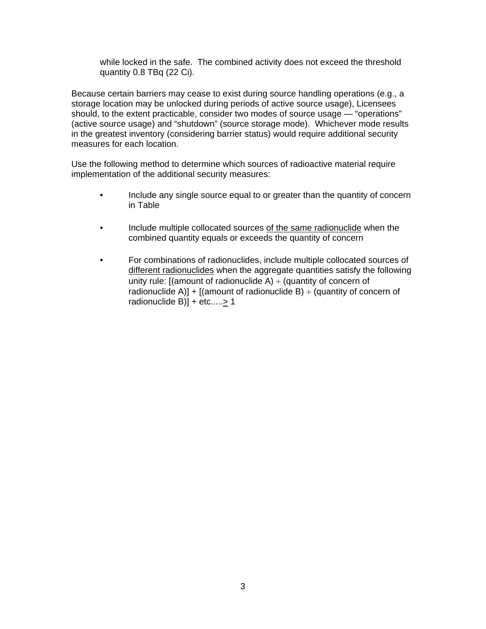while locked in the safe. The combined activity does not exceed the threshold quantity 0.8 TBq (22 Ci).

Because certain barriers may cease to exist during source handling operations (e.g., a storage location may be unlocked during periods of active source usage), Licensees should, to the extent practicable, consider two modes of source usage — "operations" (active source usage) and "shutdown" (source storage mode). Whichever mode results in the greatest inventory (considering barrier status) would require additional security measures for each location.

Use the following method to determine which sources of radioactive material require implementation of the additional security measures:

- Include any single source equal to or greater than the quantity of concern in Table
- Include multiple collocated sources of the same radionuclide when the combined quantity equals or exceeds the quantity of concern
- For combinations of radionuclides, include multiple collocated sources of different radionuclides when the aggregate quantities satisfy the following unity rule:  $[(amount of radionuclide A) ÷ (quantity of concern of$ radionuclide A)] +  $[(amount of radionuclide B) ÷ (quantity of concern of$ radionuclide B)] + etc..... $\geq$  1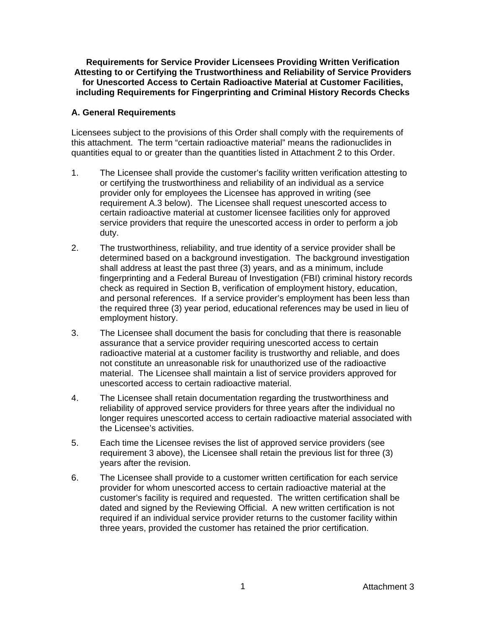**Requirements for Service Provider Licensees Providing Written Verification Attesting to or Certifying the Trustworthiness and Reliability of Service Providers for Unescorted Access to Certain Radioactive Material at Customer Facilities, including Requirements for Fingerprinting and Criminal History Records Checks** 

### **A. General Requirements**

Licensees subject to the provisions of this Order shall comply with the requirements of this attachment. The term "certain radioactive material" means the radionuclides in quantities equal to or greater than the quantities listed in Attachment 2 to this Order.

- 1. The Licensee shall provide the customer's facility written verification attesting to or certifying the trustworthiness and reliability of an individual as a service provider only for employees the Licensee has approved in writing (see requirement A.3 below). The Licensee shall request unescorted access to certain radioactive material at customer licensee facilities only for approved service providers that require the unescorted access in order to perform a job duty.
- 2. The trustworthiness, reliability, and true identity of a service provider shall be determined based on a background investigation. The background investigation shall address at least the past three (3) years, and as a minimum, include fingerprinting and a Federal Bureau of Investigation (FBI) criminal history records check as required in Section B, verification of employment history, education, and personal references. If a service provider's employment has been less than the required three (3) year period, educational references may be used in lieu of employment history.
- 3. The Licensee shall document the basis for concluding that there is reasonable assurance that a service provider requiring unescorted access to certain radioactive material at a customer facility is trustworthy and reliable, and does not constitute an unreasonable risk for unauthorized use of the radioactive material. The Licensee shall maintain a list of service providers approved for unescorted access to certain radioactive material.
- 4. The Licensee shall retain documentation regarding the trustworthiness and reliability of approved service providers for three years after the individual no longer requires unescorted access to certain radioactive material associated with the Licensee's activities.
- 5. Each time the Licensee revises the list of approved service providers (see requirement 3 above), the Licensee shall retain the previous list for three (3) years after the revision.
- 6. The Licensee shall provide to a customer written certification for each service provider for whom unescorted access to certain radioactive material at the customer's facility is required and requested. The written certification shall be dated and signed by the Reviewing Official. A new written certification is not required if an individual service provider returns to the customer facility within three years, provided the customer has retained the prior certification.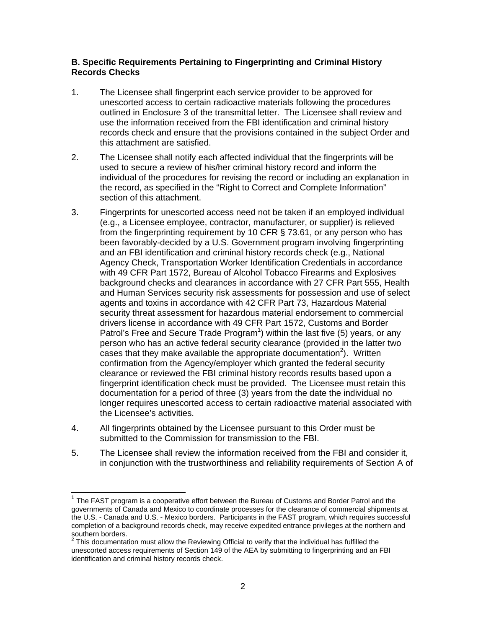# **B. Specific Requirements Pertaining to Fingerprinting and Criminal History Records Checks**

- 1. The Licensee shall fingerprint each service provider to be approved for unescorted access to certain radioactive materials following the procedures outlined in Enclosure 3 of the transmittal letter. The Licensee shall review and use the information received from the FBI identification and criminal history records check and ensure that the provisions contained in the subject Order and this attachment are satisfied.
- 2. The Licensee shall notify each affected individual that the fingerprints will be used to secure a review of his/her criminal history record and inform the individual of the procedures for revising the record or including an explanation in the record, as specified in the "Right to Correct and Complete Information" section of this attachment.
- 3. Fingerprints for unescorted access need not be taken if an employed individual (e.g., a Licensee employee, contractor, manufacturer, or supplier) is relieved from the fingerprinting requirement by 10 CFR § 73.61, or any person who has been favorably-decided by a U.S. Government program involving fingerprinting and an FBI identification and criminal history records check (e.g., National Agency Check, Transportation Worker Identification Credentials in accordance with 49 CFR Part 1572, Bureau of Alcohol Tobacco Firearms and Explosives background checks and clearances in accordance with 27 CFR Part 555, Health and Human Services security risk assessments for possession and use of select agents and toxins in accordance with 42 CFR Part 73, Hazardous Material security threat assessment for hazardous material endorsement to commercial drivers license in accordance with 49 CFR Part 1572, Customs and Border Patrol's Free and Secure Trade Program<sup>1</sup>) within the last five (5) years, or any person who has an active federal security clearance (provided in the latter two cases that they make available the appropriate documentation<sup>2</sup>). Written confirmation from the Agency/employer which granted the federal security clearance or reviewed the FBI criminal history records results based upon a fingerprint identification check must be provided. The Licensee must retain this documentation for a period of three (3) years from the date the individual no longer requires unescorted access to certain radioactive material associated with the Licensee's activities.
- 4. All fingerprints obtained by the Licensee pursuant to this Order must be submitted to the Commission for transmission to the FBI.

 $\overline{a}$ 

5. The Licensee shall review the information received from the FBI and consider it, in conjunction with the trustworthiness and reliability requirements of Section A of

 $1$  The FAST program is a cooperative effort between the Bureau of Customs and Border Patrol and the governments of Canada and Mexico to coordinate processes for the clearance of commercial shipments at the U.S. - Canada and U.S. - Mexico borders. Participants in the FAST program, which requires successful completion of a background records check, may receive expedited entrance privileges at the northern and southern borders.<br><sup>2</sup> Thie desumente:

This documentation must allow the Reviewing Official to verify that the individual has fulfilled the unescorted access requirements of Section 149 of the AEA by submitting to fingerprinting and an FBI identification and criminal history records check.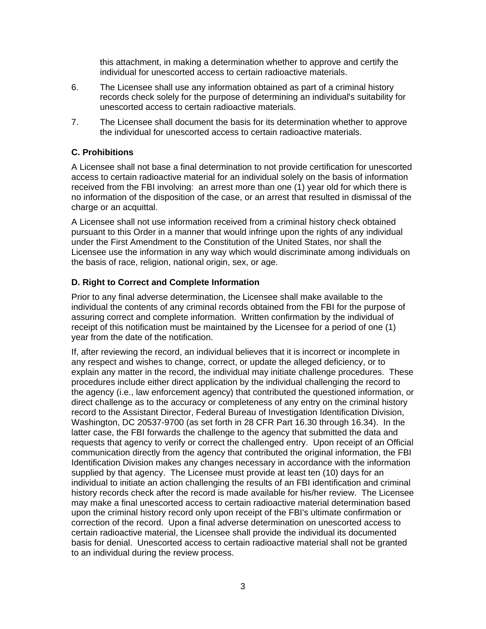this attachment, in making a determination whether to approve and certify the individual for unescorted access to certain radioactive materials.

- 6. The Licensee shall use any information obtained as part of a criminal history records check solely for the purpose of determining an individual's suitability for unescorted access to certain radioactive materials.
- 7. The Licensee shall document the basis for its determination whether to approve the individual for unescorted access to certain radioactive materials.

# **C. Prohibitions**

A Licensee shall not base a final determination to not provide certification for unescorted access to certain radioactive material for an individual solely on the basis of information received from the FBI involving: an arrest more than one (1) year old for which there is no information of the disposition of the case, or an arrest that resulted in dismissal of the charge or an acquittal.

A Licensee shall not use information received from a criminal history check obtained pursuant to this Order in a manner that would infringe upon the rights of any individual under the First Amendment to the Constitution of the United States, nor shall the Licensee use the information in any way which would discriminate among individuals on the basis of race, religion, national origin, sex, or age.

# **D. Right to Correct and Complete Information**

Prior to any final adverse determination, the Licensee shall make available to the individual the contents of any criminal records obtained from the FBI for the purpose of assuring correct and complete information. Written confirmation by the individual of receipt of this notification must be maintained by the Licensee for a period of one (1) year from the date of the notification.

If, after reviewing the record, an individual believes that it is incorrect or incomplete in any respect and wishes to change, correct, or update the alleged deficiency, or to explain any matter in the record, the individual may initiate challenge procedures. These procedures include either direct application by the individual challenging the record to the agency (i.e., law enforcement agency) that contributed the questioned information, or direct challenge as to the accuracy or completeness of any entry on the criminal history record to the Assistant Director, Federal Bureau of Investigation Identification Division, Washington, DC 20537-9700 (as set forth in 28 CFR Part 16.30 through 16.34). In the latter case, the FBI forwards the challenge to the agency that submitted the data and requests that agency to verify or correct the challenged entry. Upon receipt of an Official communication directly from the agency that contributed the original information, the FBI Identification Division makes any changes necessary in accordance with the information supplied by that agency. The Licensee must provide at least ten (10) days for an individual to initiate an action challenging the results of an FBI identification and criminal history records check after the record is made available for his/her review. The Licensee may make a final unescorted access to certain radioactive material determination based upon the criminal history record only upon receipt of the FBI's ultimate confirmation or correction of the record. Upon a final adverse determination on unescorted access to certain radioactive material, the Licensee shall provide the individual its documented basis for denial. Unescorted access to certain radioactive material shall not be granted to an individual during the review process.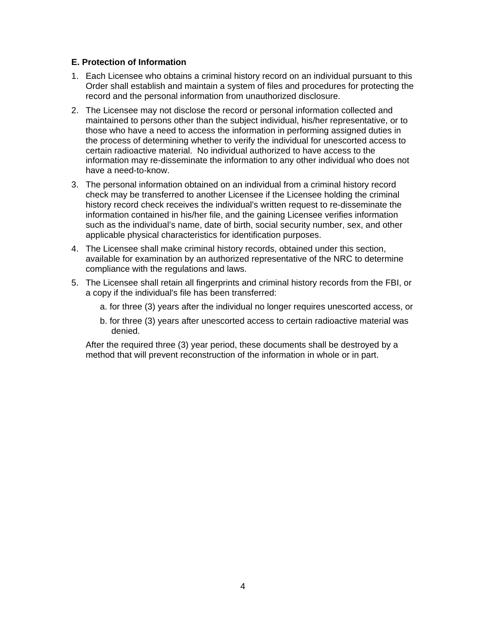# **E. Protection of Information**

- 1. Each Licensee who obtains a criminal history record on an individual pursuant to this Order shall establish and maintain a system of files and procedures for protecting the record and the personal information from unauthorized disclosure.
- 2. The Licensee may not disclose the record or personal information collected and maintained to persons other than the subject individual, his/her representative, or to those who have a need to access the information in performing assigned duties in the process of determining whether to verify the individual for unescorted access to certain radioactive material. No individual authorized to have access to the information may re-disseminate the information to any other individual who does not have a need-to-know.
- 3. The personal information obtained on an individual from a criminal history record check may be transferred to another Licensee if the Licensee holding the criminal history record check receives the individual's written request to re-disseminate the information contained in his/her file, and the gaining Licensee verifies information such as the individual's name, date of birth, social security number, sex, and other applicable physical characteristics for identification purposes.
- 4. The Licensee shall make criminal history records, obtained under this section, available for examination by an authorized representative of the NRC to determine compliance with the regulations and laws.
- 5. The Licensee shall retain all fingerprints and criminal history records from the FBI, or a copy if the individual's file has been transferred:
	- a. for three (3) years after the individual no longer requires unescorted access, or
	- b. for three (3) years after unescorted access to certain radioactive material was denied.

 After the required three (3) year period, these documents shall be destroyed by a method that will prevent reconstruction of the information in whole or in part.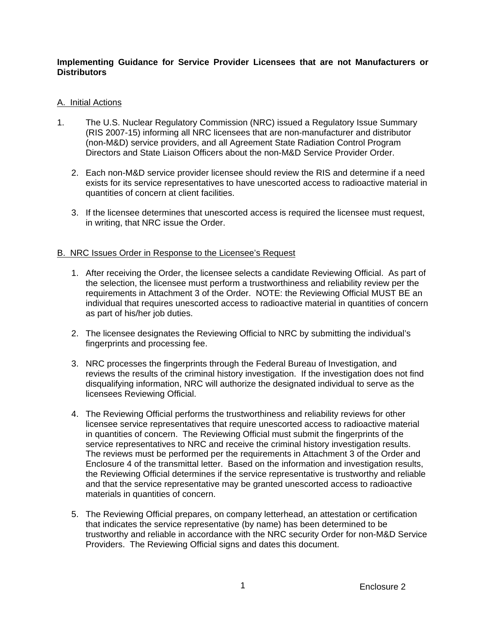# **Implementing Guidance for Service Provider Licensees that are not Manufacturers or Distributors**

# A. Initial Actions

- 1. The U.S. Nuclear Regulatory Commission (NRC) issued a Regulatory Issue Summary (RIS 2007-15) informing all NRC licensees that are non-manufacturer and distributor (non-M&D) service providers, and all Agreement State Radiation Control Program Directors and State Liaison Officers about the non-M&D Service Provider Order.
	- 2. Each non-M&D service provider licensee should review the RIS and determine if a need exists for its service representatives to have unescorted access to radioactive material in quantities of concern at client facilities.
	- 3. If the licensee determines that unescorted access is required the licensee must request, in writing, that NRC issue the Order.

# B. NRC Issues Order in Response to the Licensee's Request

- 1. After receiving the Order, the licensee selects a candidate Reviewing Official. As part of the selection, the licensee must perform a trustworthiness and reliability review per the requirements in Attachment 3 of the Order. NOTE: the Reviewing Official MUST BE an individual that requires unescorted access to radioactive material in quantities of concern as part of his/her job duties.
- 2. The licensee designates the Reviewing Official to NRC by submitting the individual's fingerprints and processing fee.
- 3. NRC processes the fingerprints through the Federal Bureau of Investigation, and reviews the results of the criminal history investigation. If the investigation does not find disqualifying information, NRC will authorize the designated individual to serve as the licensees Reviewing Official.
- 4. The Reviewing Official performs the trustworthiness and reliability reviews for other licensee service representatives that require unescorted access to radioactive material in quantities of concern. The Reviewing Official must submit the fingerprints of the service representatives to NRC and receive the criminal history investigation results. The reviews must be performed per the requirements in Attachment 3 of the Order and Enclosure 4 of the transmittal letter. Based on the information and investigation results, the Reviewing Official determines if the service representative is trustworthy and reliable and that the service representative may be granted unescorted access to radioactive materials in quantities of concern.
- 5. The Reviewing Official prepares, on company letterhead, an attestation or certification that indicates the service representative (by name) has been determined to be trustworthy and reliable in accordance with the NRC security Order for non-M&D Service Providers. The Reviewing Official signs and dates this document.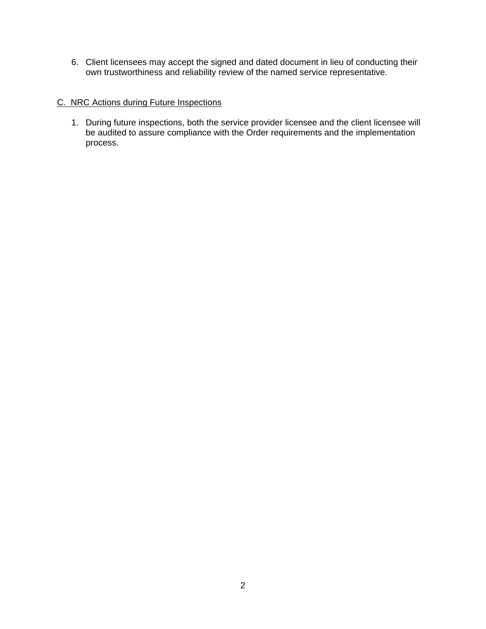6. Client licensees may accept the signed and dated document in lieu of conducting their own trustworthiness and reliability review of the named service representative.

# C. NRC Actions during Future Inspections

1. During future inspections, both the service provider licensee and the client licensee will be audited to assure compliance with the Order requirements and the implementation process.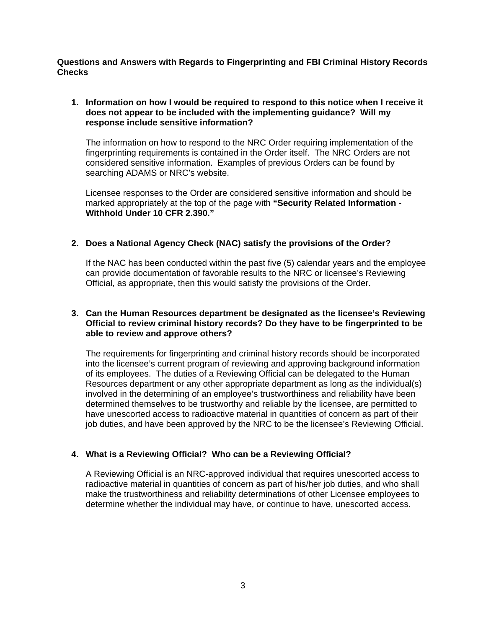**Questions and Answers with Regards to Fingerprinting and FBI Criminal History Records Checks** 

# **1. Information on how I would be required to respond to this notice when I receive it does not appear to be included with the implementing guidance? Will my response include sensitive information?**

The information on how to respond to the NRC Order requiring implementation of the fingerprinting requirements is contained in the Order itself. The NRC Orders are not considered sensitive information. Examples of previous Orders can be found by searching ADAMS or NRC's website.

Licensee responses to the Order are considered sensitive information and should be marked appropriately at the top of the page with **"Security Related Information - Withhold Under 10 CFR 2.390."** 

# **2. Does a National Agency Check (NAC) satisfy the provisions of the Order?**

If the NAC has been conducted within the past five (5) calendar years and the employee can provide documentation of favorable results to the NRC or licensee's Reviewing Official, as appropriate, then this would satisfy the provisions of the Order.

# **3. Can the Human Resources department be designated as the licensee's Reviewing Official to review criminal history records? Do they have to be fingerprinted to be able to review and approve others?**

The requirements for fingerprinting and criminal history records should be incorporated into the licensee's current program of reviewing and approving background information of its employees. The duties of a Reviewing Official can be delegated to the Human Resources department or any other appropriate department as long as the individual(s) involved in the determining of an employee's trustworthiness and reliability have been determined themselves to be trustworthy and reliable by the licensee, are permitted to have unescorted access to radioactive material in quantities of concern as part of their job duties, and have been approved by the NRC to be the licensee's Reviewing Official.

# **4. What is a Reviewing Official? Who can be a Reviewing Official?**

A Reviewing Official is an NRC-approved individual that requires unescorted access to radioactive material in quantities of concern as part of his/her job duties, and who shall make the trustworthiness and reliability determinations of other Licensee employees to determine whether the individual may have, or continue to have, unescorted access.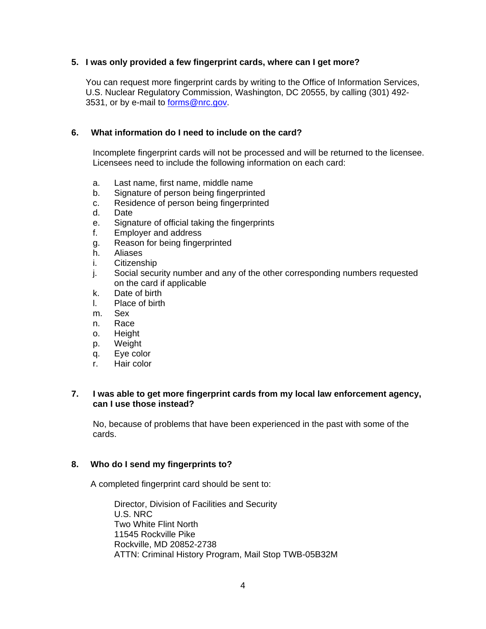# **5. I was only provided a few fingerprint cards, where can I get more?**

You can request more fingerprint cards by writing to the Office of Information Services, U.S. Nuclear Regulatory Commission, Washington, DC 20555, by calling (301) 492- 3531, or by e-mail to forms@nrc.gov.

# **6. What information do I need to include on the card?**

Incomplete fingerprint cards will not be processed and will be returned to the licensee. Licensees need to include the following information on each card:

- a. Last name, first name, middle name
- b. Signature of person being fingerprinted
- c. Residence of person being fingerprinted
- d. Date
- e. Signature of official taking the fingerprints
- f. Employer and address
- g. Reason for being fingerprinted
- h. Aliases
- i. Citizenship
- j. Social security number and any of the other corresponding numbers requested on the card if applicable
- k. Date of birth
- l. Place of birth
- m. Sex
- n. Race
- o. Height
- p. Weight
- q. Eye color
- r. Hair color

# **7. I was able to get more fingerprint cards from my local law enforcement agency, can I use those instead?**

 No, because of problems that have been experienced in the past with some of the cards.

#### **8. Who do I send my fingerprints to?**

A completed fingerprint card should be sent to:

 Director, Division of Facilities and Security U.S. NRC Two White Flint North 11545 Rockville Pike Rockville, MD 20852-2738 ATTN: Criminal History Program, Mail Stop TWB-05B32M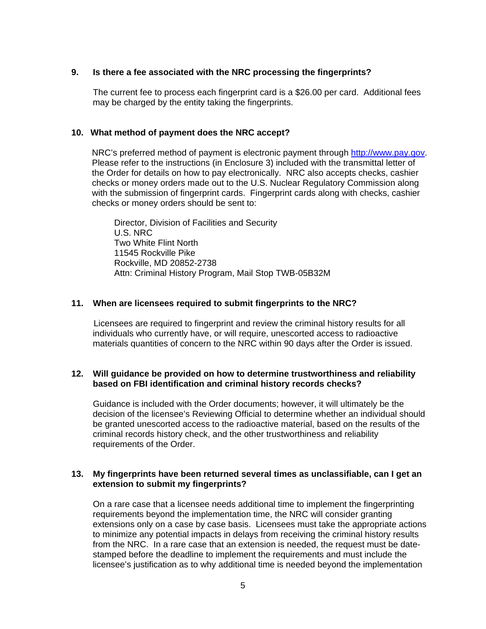# **9. Is there a fee associated with the NRC processing the fingerprints?**

 The current fee to process each fingerprint card is a \$26.00 per card. Additional fees may be charged by the entity taking the fingerprints.

#### **10. What method of payment does the NRC accept?**

NRC's preferred method of payment is electronic payment through http://www.pay.gov. Please refer to the instructions (in Enclosure 3) included with the transmittal letter of the Order for details on how to pay electronically. NRC also accepts checks, cashier checks or money orders made out to the U.S. Nuclear Regulatory Commission along with the submission of fingerprint cards. Fingerprint cards along with checks, cashier checks or money orders should be sent to:

Director, Division of Facilities and Security U.S. NRC Two White Flint North 11545 Rockville Pike Rockville, MD 20852-2738 Attn: Criminal History Program, Mail Stop TWB-05B32M

#### **11. When are licensees required to submit fingerprints to the NRC?**

 Licensees are required to fingerprint and review the criminal history results for all individuals who currently have, or will require, unescorted access to radioactive materials quantities of concern to the NRC within 90 days after the Order is issued.

# **12. Will guidance be provided on how to determine trustworthiness and reliability based on FBI identification and criminal history records checks?**

 Guidance is included with the Order documents; however, it will ultimately be the decision of the licensee's Reviewing Official to determine whether an individual should be granted unescorted access to the radioactive material, based on the results of the criminal records history check, and the other trustworthiness and reliability requirements of the Order.

# **13. My fingerprints have been returned several times as unclassifiable, can I get an extension to submit my fingerprints?**

 On a rare case that a licensee needs additional time to implement the fingerprinting requirements beyond the implementation time, the NRC will consider granting extensions only on a case by case basis. Licensees must take the appropriate actions to minimize any potential impacts in delays from receiving the criminal history results from the NRC. In a rare case that an extension is needed, the request must be datestamped before the deadline to implement the requirements and must include the licensee's justification as to why additional time is needed beyond the implementation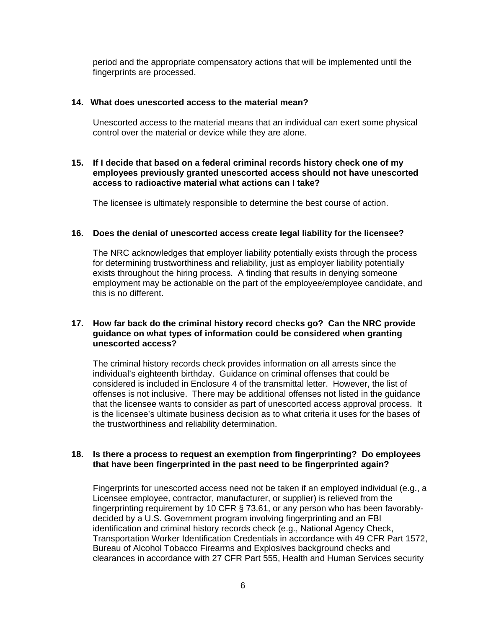period and the appropriate compensatory actions that will be implemented until the fingerprints are processed.

#### **14. What does unescorted access to the material mean?**

 Unescorted access to the material means that an individual can exert some physical control over the material or device while they are alone.

### **15. If I decide that based on a federal criminal records history check one of my employees previously granted unescorted access should not have unescorted access to radioactive material what actions can I take?**

The licensee is ultimately responsible to determine the best course of action.

# **16. Does the denial of unescorted access create legal liability for the licensee?**

 The NRC acknowledges that employer liability potentially exists through the process for determining trustworthiness and reliability, just as employer liability potentially exists throughout the hiring process. A finding that results in denying someone employment may be actionable on the part of the employee/employee candidate, and this is no different.

### **17. How far back do the criminal history record checks go? Can the NRC provide guidance on what types of information could be considered when granting unescorted access?**

 The criminal history records check provides information on all arrests since the individual's eighteenth birthday. Guidance on criminal offenses that could be considered is included in Enclosure 4 of the transmittal letter. However, the list of offenses is not inclusive. There may be additional offenses not listed in the guidance that the licensee wants to consider as part of unescorted access approval process. It is the licensee's ultimate business decision as to what criteria it uses for the bases of the trustworthiness and reliability determination.

# **18. Is there a process to request an exemption from fingerprinting? Do employees that have been fingerprinted in the past need to be fingerprinted again?**

 Fingerprints for unescorted access need not be taken if an employed individual (e.g., a Licensee employee, contractor, manufacturer, or supplier) is relieved from the fingerprinting requirement by 10 CFR § 73.61, or any person who has been favorablydecided by a U.S. Government program involving fingerprinting and an FBI identification and criminal history records check (e.g., National Agency Check, Transportation Worker Identification Credentials in accordance with 49 CFR Part 1572, Bureau of Alcohol Tobacco Firearms and Explosives background checks and clearances in accordance with 27 CFR Part 555, Health and Human Services security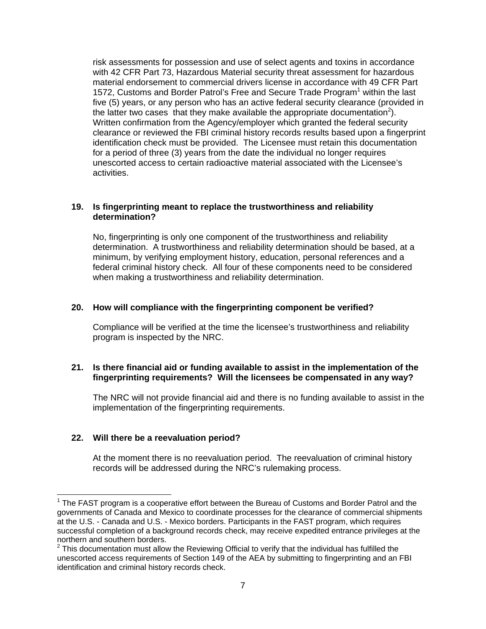risk assessments for possession and use of select agents and toxins in accordance with 42 CFR Part 73, Hazardous Material security threat assessment for hazardous material endorsement to commercial drivers license in accordance with 49 CFR Part 1572, Customs and Border Patrol's Free and Secure Trade Program<sup>1</sup> within the last five (5) years, or any person who has an active federal security clearance (provided in the latter two cases that they make available the appropriate documentation<sup>2</sup>). Written confirmation from the Agency/employer which granted the federal security clearance or reviewed the FBI criminal history records results based upon a fingerprint identification check must be provided. The Licensee must retain this documentation for a period of three (3) years from the date the individual no longer requires unescorted access to certain radioactive material associated with the Licensee's activities.

### **19. Is fingerprinting meant to replace the trustworthiness and reliability determination?**

 No, fingerprinting is only one component of the trustworthiness and reliability determination. A trustworthiness and reliability determination should be based, at a minimum, by verifying employment history, education, personal references and a federal criminal history check. All four of these components need to be considered when making a trustworthiness and reliability determination.

#### **20. How will compliance with the fingerprinting component be verified?**

Compliance will be verified at the time the licensee's trustworthiness and reliability program is inspected by the NRC.

# **21. Is there financial aid or funding available to assist in the implementation of the fingerprinting requirements? Will the licensees be compensated in any way?**

 The NRC will not provide financial aid and there is no funding available to assist in the implementation of the fingerprinting requirements.

# **22. Will there be a reevaluation period?**

-

At the moment there is no reevaluation period. The reevaluation of criminal history records will be addressed during the NRC's rulemaking process.

 $1$  The FAST program is a cooperative effort between the Bureau of Customs and Border Patrol and the governments of Canada and Mexico to coordinate processes for the clearance of commercial shipments at the U.S. - Canada and U.S. - Mexico borders. Participants in the FAST program, which requires successful completion of a background records check, may receive expedited entrance privileges at the northern and southern borders.

 $2$  This documentation must allow the Reviewing Official to verify that the individual has fulfilled the unescorted access requirements of Section 149 of the AEA by submitting to fingerprinting and an FBI identification and criminal history records check.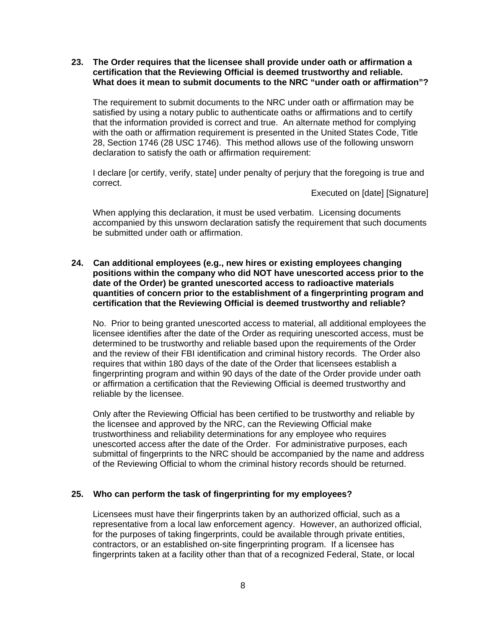#### **23. The Order requires that the licensee shall provide under oath or affirmation a certification that the Reviewing Official is deemed trustworthy and reliable. What does it mean to submit documents to the NRC "under oath or affirmation"?**

The requirement to submit documents to the NRC under oath or affirmation may be satisfied by using a notary public to authenticate oaths or affirmations and to certify that the information provided is correct and true. An alternate method for complying with the oath or affirmation requirement is presented in the United States Code, Title 28, Section 1746 (28 USC 1746). This method allows use of the following unsworn declaration to satisfy the oath or affirmation requirement:

I declare [or certify, verify, state] under penalty of perjury that the foregoing is true and correct.

Executed on [date] [Signature]

When applying this declaration, it must be used verbatim. Licensing documents accompanied by this unsworn declaration satisfy the requirement that such documents be submitted under oath or affirmation.

# **24. Can additional employees (e.g., new hires or existing employees changing positions within the company who did NOT have unescorted access prior to the date of the Order) be granted unescorted access to radioactive materials quantities of concern prior to the establishment of a fingerprinting program and certification that the Reviewing Official is deemed trustworthy and reliable?**

No. Prior to being granted unescorted access to material, all additional employees the licensee identifies after the date of the Order as requiring unescorted access, must be determined to be trustworthy and reliable based upon the requirements of the Order and the review of their FBI identification and criminal history records. The Order also requires that within 180 days of the date of the Order that licensees establish a fingerprinting program and within 90 days of the date of the Order provide under oath or affirmation a certification that the Reviewing Official is deemed trustworthy and reliable by the licensee.

Only after the Reviewing Official has been certified to be trustworthy and reliable by the licensee and approved by the NRC, can the Reviewing Official make trustworthiness and reliability determinations for any employee who requires unescorted access after the date of the Order. For administrative purposes, each submittal of fingerprints to the NRC should be accompanied by the name and address of the Reviewing Official to whom the criminal history records should be returned.

# **25. Who can perform the task of fingerprinting for my employees?**

Licensees must have their fingerprints taken by an authorized official, such as a representative from a local law enforcement agency. However, an authorized official, for the purposes of taking fingerprints, could be available through private entities, contractors, or an established on-site fingerprinting program. If a licensee has fingerprints taken at a facility other than that of a recognized Federal, State, or local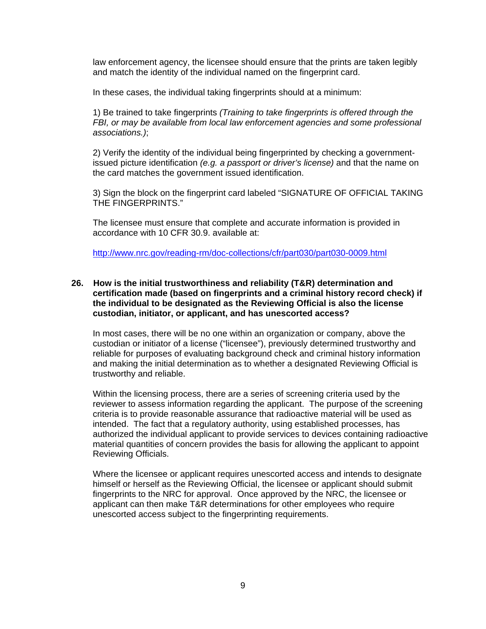law enforcement agency, the licensee should ensure that the prints are taken legibly and match the identity of the individual named on the fingerprint card.

In these cases, the individual taking fingerprints should at a minimum:

1) Be trained to take fingerprints *(Training to take fingerprints is offered through the FBI, or may be available from local law enforcement agencies and some professional associations.)*;

2) Verify the identity of the individual being fingerprinted by checking a governmentissued picture identification *(e.g. a passport or driver's license)* and that the name on the card matches the government issued identification.

3) Sign the block on the fingerprint card labeled "SIGNATURE OF OFFICIAL TAKING THE FINGERPRINTS."

The licensee must ensure that complete and accurate information is provided in accordance with 10 CFR 30.9. available at:

http://www.nrc.gov/reading-rm/doc-collections/cfr/part030/part030-0009.html

#### **26. How is the initial trustworthiness and reliability (T&R) determination and certification made (based on fingerprints and a criminal history record check) if the individual to be designated as the Reviewing Official is also the license custodian, initiator, or applicant, and has unescorted access?**

In most cases, there will be no one within an organization or company, above the custodian or initiator of a license ("licensee"), previously determined trustworthy and reliable for purposes of evaluating background check and criminal history information and making the initial determination as to whether a designated Reviewing Official is trustworthy and reliable.

Within the licensing process, there are a series of screening criteria used by the reviewer to assess information regarding the applicant. The purpose of the screening criteria is to provide reasonable assurance that radioactive material will be used as intended. The fact that a regulatory authority, using established processes, has authorized the individual applicant to provide services to devices containing radioactive material quantities of concern provides the basis for allowing the applicant to appoint Reviewing Officials.

Where the licensee or applicant requires unescorted access and intends to designate himself or herself as the Reviewing Official, the licensee or applicant should submit fingerprints to the NRC for approval. Once approved by the NRC, the licensee or applicant can then make T&R determinations for other employees who require unescorted access subject to the fingerprinting requirements.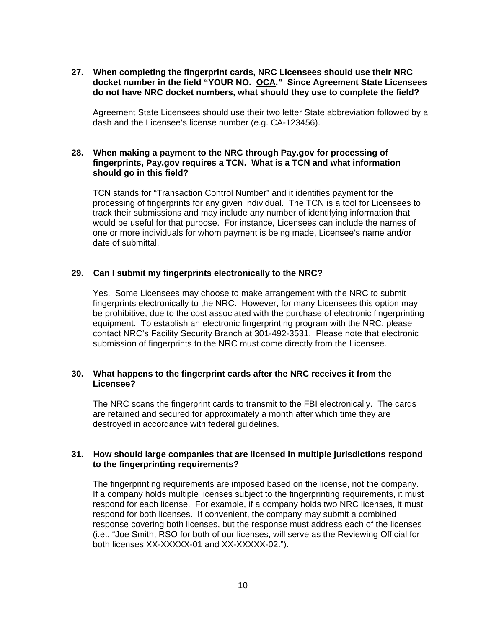**27. When completing the fingerprint cards, NRC Licensees should use their NRC docket number in the field "YOUR NO. OCA." Since Agreement State Licensees do not have NRC docket numbers, what should they use to complete the field?** 

Agreement State Licensees should use their two letter State abbreviation followed by a dash and the Licensee's license number (e.g. CA-123456).

### **28. When making a payment to the NRC through Pay.gov for processing of fingerprints, Pay.gov requires a TCN. What is a TCN and what information should go in this field?**

TCN stands for "Transaction Control Number" and it identifies payment for the processing of fingerprints for any given individual. The TCN is a tool for Licensees to track their submissions and may include any number of identifying information that would be useful for that purpose. For instance, Licensees can include the names of one or more individuals for whom payment is being made, Licensee's name and/or date of submittal.

# **29. Can I submit my fingerprints electronically to the NRC?**

Yes. Some Licensees may choose to make arrangement with the NRC to submit fingerprints electronically to the NRC. However, for many Licensees this option may be prohibitive, due to the cost associated with the purchase of electronic fingerprinting equipment. To establish an electronic fingerprinting program with the NRC, please contact NRC's Facility Security Branch at 301-492-3531. Please note that electronic submission of fingerprints to the NRC must come directly from the Licensee.

# **30. What happens to the fingerprint cards after the NRC receives it from the Licensee?**

The NRC scans the fingerprint cards to transmit to the FBI electronically. The cards are retained and secured for approximately a month after which time they are destroyed in accordance with federal guidelines.

# **31. How should large companies that are licensed in multiple jurisdictions respond to the fingerprinting requirements?**

The fingerprinting requirements are imposed based on the license, not the company. If a company holds multiple licenses subject to the fingerprinting requirements, it must respond for each license. For example, if a company holds two NRC licenses, it must respond for both licenses. If convenient, the company may submit a combined response covering both licenses, but the response must address each of the licenses (i.e., "Joe Smith, RSO for both of our licenses, will serve as the Reviewing Official for both licenses XX-XXXXX-01 and XX-XXXXX-02.").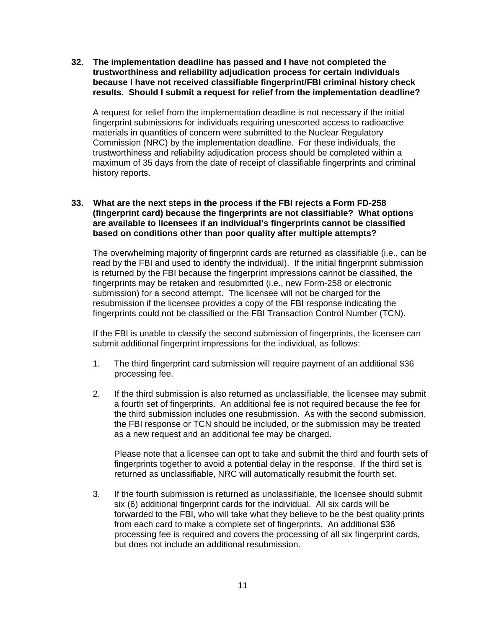**32. The implementation deadline has passed and I have not completed the trustworthiness and reliability adjudication process for certain individuals because I have not received classifiable fingerprint/FBI criminal history check results. Should I submit a request for relief from the implementation deadline?** 

A request for relief from the implementation deadline is not necessary if the initial fingerprint submissions for individuals requiring unescorted access to radioactive materials in quantities of concern were submitted to the Nuclear Regulatory Commission (NRC) by the implementation deadline. For these individuals, the trustworthiness and reliability adjudication process should be completed within a maximum of 35 days from the date of receipt of classifiable fingerprints and criminal history reports.

#### **33. What are the next steps in the process if the FBI rejects a Form FD-258 (fingerprint card) because the fingerprints are not classifiable? What options are available to licensees if an individual's fingerprints cannot be classified based on conditions other than poor quality after multiple attempts?**

The overwhelming majority of fingerprint cards are returned as classifiable (i.e., can be read by the FBI and used to identify the individual). If the initial fingerprint submission is returned by the FBI because the fingerprint impressions cannot be classified, the fingerprints may be retaken and resubmitted (i.e., new Form-258 or electronic submission) for a second attempt. The licensee will not be charged for the resubmission if the licensee provides a copy of the FBI response indicating the fingerprints could not be classified or the FBI Transaction Control Number (TCN).

If the FBI is unable to classify the second submission of fingerprints, the licensee can submit additional fingerprint impressions for the individual, as follows:

- 1. The third fingerprint card submission will require payment of an additional \$36 processing fee.
- 2. If the third submission is also returned as unclassifiable, the licensee may submit a fourth set of fingerprints. An additional fee is not required because the fee for the third submission includes one resubmission. As with the second submission, the FBI response or TCN should be included, or the submission may be treated as a new request and an additional fee may be charged.

Please note that a licensee can opt to take and submit the third and fourth sets of fingerprints together to avoid a potential delay in the response. If the third set is returned as unclassifiable, NRC will automatically resubmit the fourth set.

3. If the fourth submission is returned as unclassifiable, the licensee should submit six (6) additional fingerprint cards for the individual. All six cards will be forwarded to the FBI, who will take what they believe to be the best quality prints from each card to make a complete set of fingerprints. An additional \$36 processing fee is required and covers the processing of all six fingerprint cards, but does not include an additional resubmission.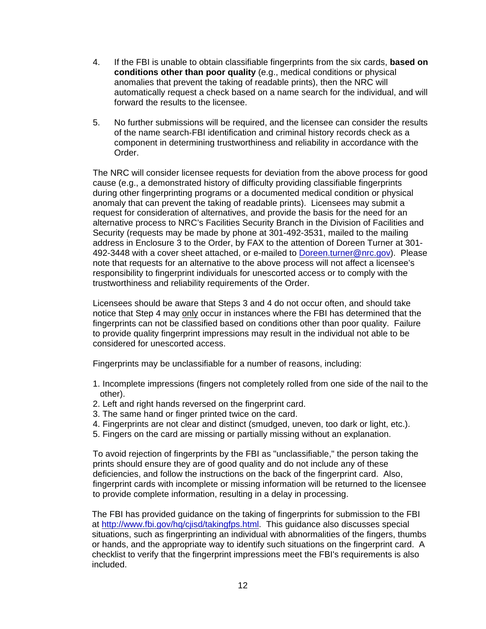- 4. If the FBI is unable to obtain classifiable fingerprints from the six cards, **based on conditions other than poor quality** (e.g., medical conditions or physical anomalies that prevent the taking of readable prints), then the NRC will automatically request a check based on a name search for the individual, and will forward the results to the licensee.
- 5. No further submissions will be required, and the licensee can consider the results of the name search-FBI identification and criminal history records check as a component in determining trustworthiness and reliability in accordance with the Order.

The NRC will consider licensee requests for deviation from the above process for good cause (e.g., a demonstrated history of difficulty providing classifiable fingerprints during other fingerprinting programs or a documented medical condition or physical anomaly that can prevent the taking of readable prints). Licensees may submit a request for consideration of alternatives, and provide the basis for the need for an alternative process to NRC's Facilities Security Branch in the Division of Facilities and Security (requests may be made by phone at 301-492-3531, mailed to the mailing address in Enclosure 3 to the Order, by FAX to the attention of Doreen Turner at 301- 492-3448 with a cover sheet attached, or e-mailed to Doreen.turner@nrc.gov). Please note that requests for an alternative to the above process will not affect a licensee's responsibility to fingerprint individuals for unescorted access or to comply with the trustworthiness and reliability requirements of the Order.

Licensees should be aware that Steps 3 and 4 do not occur often, and should take notice that Step 4 may only occur in instances where the FBI has determined that the fingerprints can not be classified based on conditions other than poor quality. Failure to provide quality fingerprint impressions may result in the individual not able to be considered for unescorted access.

Fingerprints may be unclassifiable for a number of reasons, including:

- 1. Incomplete impressions (fingers not completely rolled from one side of the nail to the other).
- 2. Left and right hands reversed on the fingerprint card.
- 3. The same hand or finger printed twice on the card.
- 4. Fingerprints are not clear and distinct (smudged, uneven, too dark or light, etc.).
- 5. Fingers on the card are missing or partially missing without an explanation.

To avoid rejection of fingerprints by the FBI as "unclassifiable," the person taking the prints should ensure they are of good quality and do not include any of these deficiencies, and follow the instructions on the back of the fingerprint card. Also, fingerprint cards with incomplete or missing information will be returned to the licensee to provide complete information, resulting in a delay in processing.

The FBI has provided guidance on the taking of fingerprints for submission to the FBI at http://www.fbi.gov/hq/cjisd/takingfps.html. This guidance also discusses special situations, such as fingerprinting an individual with abnormalities of the fingers, thumbs or hands, and the appropriate way to identify such situations on the fingerprint card. A checklist to verify that the fingerprint impressions meet the FBI's requirements is also included.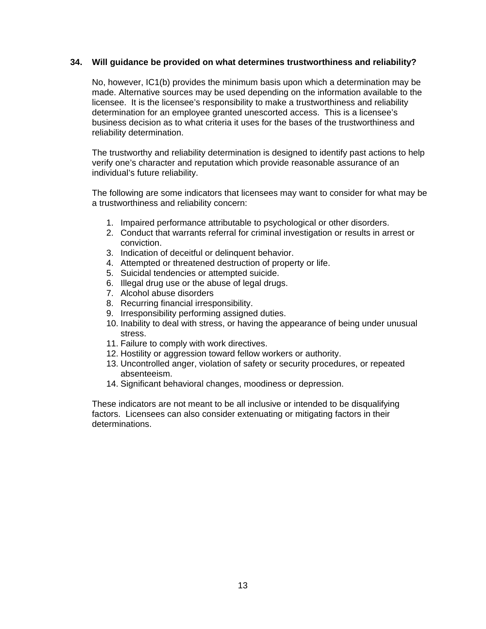# **34. Will guidance be provided on what determines trustworthiness and reliability?**

 No, however, IC1(b) provides the minimum basis upon which a determination may be made. Alternative sources may be used depending on the information available to the licensee. It is the licensee's responsibility to make a trustworthiness and reliability determination for an employee granted unescorted access. This is a licensee's business decision as to what criteria it uses for the bases of the trustworthiness and reliability determination.

The trustworthy and reliability determination is designed to identify past actions to help verify one's character and reputation which provide reasonable assurance of an individual's future reliability.

The following are some indicators that licensees may want to consider for what may be a trustworthiness and reliability concern:

- 1. Impaired performance attributable to psychological or other disorders.
- 2. Conduct that warrants referral for criminal investigation or results in arrest or conviction.
- 3. Indication of deceitful or delinquent behavior.
- 4. Attempted or threatened destruction of property or life.
- 5. Suicidal tendencies or attempted suicide.
- 6. Illegal drug use or the abuse of legal drugs.
- 7. Alcohol abuse disorders
- 8. Recurring financial irresponsibility.
- 9. Irresponsibility performing assigned duties.
- 10. Inability to deal with stress, or having the appearance of being under unusual stress.
- 11. Failure to comply with work directives.
- 12. Hostility or aggression toward fellow workers or authority.
- 13. Uncontrolled anger, violation of safety or security procedures, or repeated absenteeism.
- 14. Significant behavioral changes, moodiness or depression.

These indicators are not meant to be all inclusive or intended to be disqualifying factors. Licensees can also consider extenuating or mitigating factors in their determinations.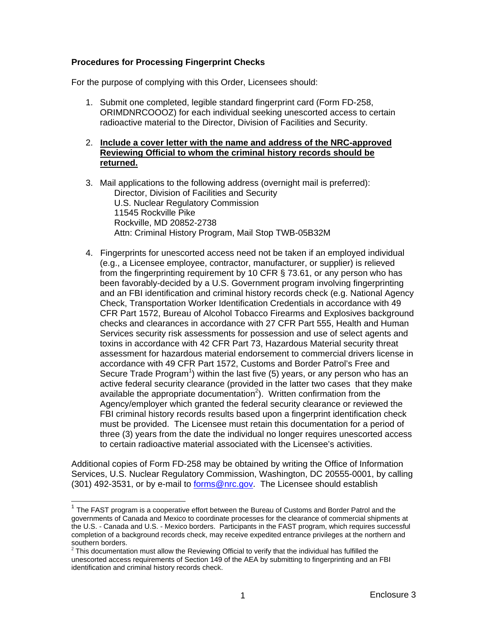# **Procedures for Processing Fingerprint Checks**

For the purpose of complying with this Order, Licensees should:

1. Submit one completed, legible standard fingerprint card (Form FD-258, ORIMDNRCOOOZ) for each individual seeking unescorted access to certain radioactive material to the Director, Division of Facilities and Security.

# 2. **Include a cover letter with the name and address of the NRC-approved Reviewing Official to whom the criminal history records should be returned.**

- 3. Mail applications to the following address (overnight mail is preferred): Director, Division of Facilities and Security U.S. Nuclear Regulatory Commission 11545 Rockville Pike Rockville, MD 20852-2738 Attn: Criminal History Program, Mail Stop TWB-05B32M
- 4. Fingerprints for unescorted access need not be taken if an employed individual (e.g., a Licensee employee, contractor, manufacturer, or supplier) is relieved from the fingerprinting requirement by 10 CFR § 73.61, or any person who has been favorably-decided by a U.S. Government program involving fingerprinting and an FBI identification and criminal history records check (e.g. National Agency Check, Transportation Worker Identification Credentials in accordance with 49 CFR Part 1572, Bureau of Alcohol Tobacco Firearms and Explosives background checks and clearances in accordance with 27 CFR Part 555, Health and Human Services security risk assessments for possession and use of select agents and toxins in accordance with 42 CFR Part 73, Hazardous Material security threat assessment for hazardous material endorsement to commercial drivers license in accordance with 49 CFR Part 1572, Customs and Border Patrol's Free and Secure Trade Program<sup>1</sup>) within the last five (5) years, or any person who has an active federal security clearance (provided in the latter two cases that they make available the appropriate documentation<sup>2</sup>). Written confirmation from the Agency/employer which granted the federal security clearance or reviewed the FBI criminal history records results based upon a fingerprint identification check must be provided. The Licensee must retain this documentation for a period of three (3) years from the date the individual no longer requires unescorted access to certain radioactive material associated with the Licensee's activities.

Additional copies of Form FD-258 may be obtained by writing the Office of Information Services, U.S. Nuclear Regulatory Commission, Washington, DC 20555-0001, by calling (301) 492-3531, or by e-mail to **forms@nrc.gov**. The Licensee should establish

 $\overline{\phantom{a}}$ 

 $1$  The FAST program is a cooperative effort between the Bureau of Customs and Border Patrol and the governments of Canada and Mexico to coordinate processes for the clearance of commercial shipments at the U.S. - Canada and U.S. - Mexico borders. Participants in the FAST program, which requires successful completion of a background records check, may receive expedited entrance privileges at the northern and southern borders.

 $2$  This documentation must allow the Reviewing Official to verify that the individual has fulfilled the unescorted access requirements of Section 149 of the AEA by submitting to fingerprinting and an FBI identification and criminal history records check.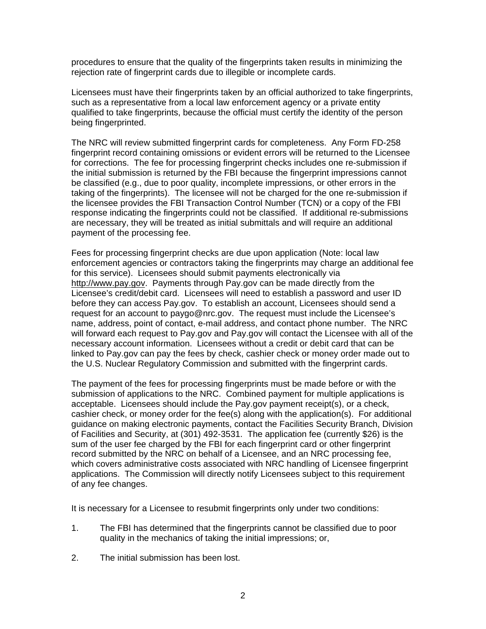procedures to ensure that the quality of the fingerprints taken results in minimizing the rejection rate of fingerprint cards due to illegible or incomplete cards.

Licensees must have their fingerprints taken by an official authorized to take fingerprints, such as a representative from a local law enforcement agency or a private entity qualified to take fingerprints, because the official must certify the identity of the person being fingerprinted.

The NRC will review submitted fingerprint cards for completeness. Any Form FD-258 fingerprint record containing omissions or evident errors will be returned to the Licensee for corrections. The fee for processing fingerprint checks includes one re-submission if the initial submission is returned by the FBI because the fingerprint impressions cannot be classified (e.g., due to poor quality, incomplete impressions, or other errors in the taking of the fingerprints). The licensee will not be charged for the one re-submission if the licensee provides the FBI Transaction Control Number (TCN) or a copy of the FBI response indicating the fingerprints could not be classified. If additional re-submissions are necessary, they will be treated as initial submittals and will require an additional payment of the processing fee.

Fees for processing fingerprint checks are due upon application (Note: local law enforcement agencies or contractors taking the fingerprints may charge an additional fee for this service). Licensees should submit payments electronically via http://www.pay.gov. Payments through Pay.gov can be made directly from the Licensee's credit/debit card. Licensees will need to establish a password and user ID before they can access Pay.gov. To establish an account, Licensees should send a request for an account to paygo@nrc.gov. The request must include the Licensee's name, address, point of contact, e-mail address, and contact phone number. The NRC will forward each request to Pay.gov and Pay.gov will contact the Licensee with all of the necessary account information. Licensees without a credit or debit card that can be linked to Pay.gov can pay the fees by check, cashier check or money order made out to the U.S. Nuclear Regulatory Commission and submitted with the fingerprint cards.

The payment of the fees for processing fingerprints must be made before or with the submission of applications to the NRC. Combined payment for multiple applications is acceptable. Licensees should include the Pay.gov payment receipt(s), or a check, cashier check, or money order for the fee(s) along with the application(s). For additional guidance on making electronic payments, contact the Facilities Security Branch, Division of Facilities and Security, at (301) 492-3531. The application fee (currently \$26) is the sum of the user fee charged by the FBI for each fingerprint card or other fingerprint record submitted by the NRC on behalf of a Licensee, and an NRC processing fee, which covers administrative costs associated with NRC handling of Licensee fingerprint applications. The Commission will directly notify Licensees subject to this requirement of any fee changes.

It is necessary for a Licensee to resubmit fingerprints only under two conditions:

- 1. The FBI has determined that the fingerprints cannot be classified due to poor quality in the mechanics of taking the initial impressions; or,
- 2. The initial submission has been lost.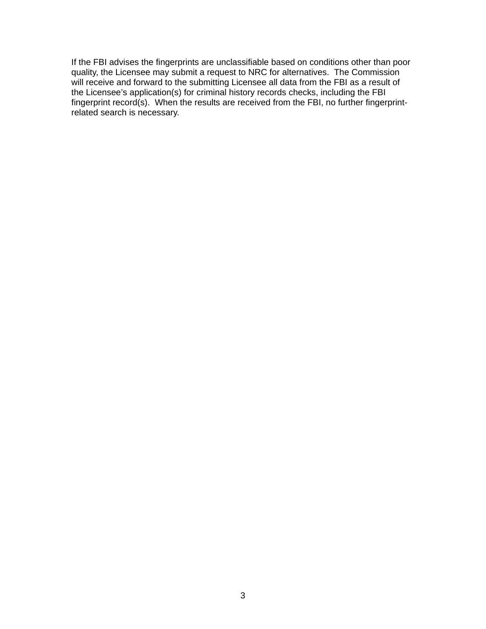If the FBI advises the fingerprints are unclassifiable based on conditions other than poor quality, the Licensee may submit a request to NRC for alternatives. The Commission will receive and forward to the submitting Licensee all data from the FBI as a result of the Licensee's application(s) for criminal history records checks, including the FBI fingerprint record(s). When the results are received from the FBI, no further fingerprintrelated search is necessary.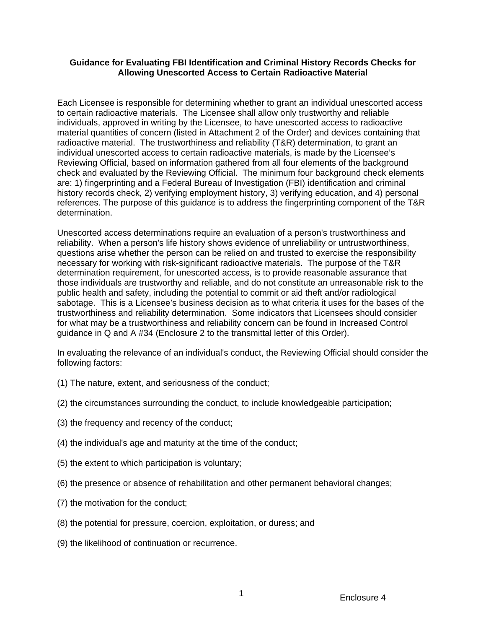# **Guidance for Evaluating FBI Identification and Criminal History Records Checks for Allowing Unescorted Access to Certain Radioactive Material**

Each Licensee is responsible for determining whether to grant an individual unescorted access to certain radioactive materials. The Licensee shall allow only trustworthy and reliable individuals, approved in writing by the Licensee, to have unescorted access to radioactive material quantities of concern (listed in Attachment 2 of the Order) and devices containing that radioactive material. The trustworthiness and reliability (T&R) determination, to grant an individual unescorted access to certain radioactive materials, is made by the Licensee's Reviewing Official, based on information gathered from all four elements of the background check and evaluated by the Reviewing Official. The minimum four background check elements are: 1) fingerprinting and a Federal Bureau of Investigation (FBI) identification and criminal history records check, 2) verifying employment history, 3) verifying education, and 4) personal references. The purpose of this guidance is to address the fingerprinting component of the T&R determination.

Unescorted access determinations require an evaluation of a person's trustworthiness and reliability. When a person's life history shows evidence of unreliability or untrustworthiness, questions arise whether the person can be relied on and trusted to exercise the responsibility necessary for working with risk-significant radioactive materials. The purpose of the T&R determination requirement, for unescorted access, is to provide reasonable assurance that those individuals are trustworthy and reliable, and do not constitute an unreasonable risk to the public health and safety, including the potential to commit or aid theft and/or radiological sabotage. This is a Licensee's business decision as to what criteria it uses for the bases of the trustworthiness and reliability determination. Some indicators that Licensees should consider for what may be a trustworthiness and reliability concern can be found in Increased Control guidance in Q and A #34 (Enclosure 2 to the transmittal letter of this Order).

In evaluating the relevance of an individual's conduct, the Reviewing Official should consider the following factors:

- (1) The nature, extent, and seriousness of the conduct;
- (2) the circumstances surrounding the conduct, to include knowledgeable participation;
- (3) the frequency and recency of the conduct;
- (4) the individual's age and maturity at the time of the conduct;
- (5) the extent to which participation is voluntary;
- (6) the presence or absence of rehabilitation and other permanent behavioral changes;
- (7) the motivation for the conduct;
- (8) the potential for pressure, coercion, exploitation, or duress; and
- (9) the likelihood of continuation or recurrence.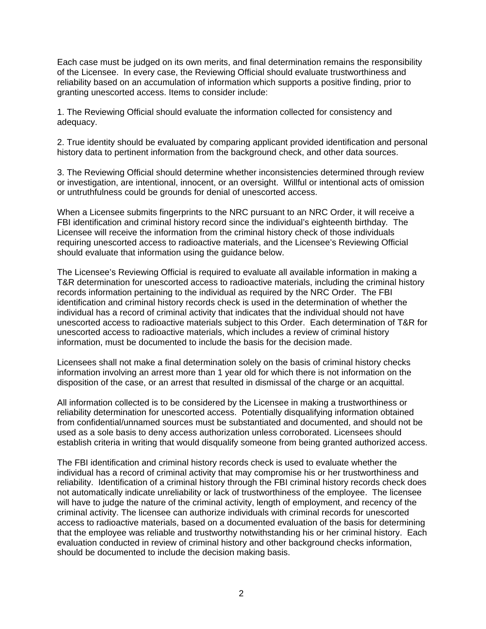Each case must be judged on its own merits, and final determination remains the responsibility of the Licensee. In every case, the Reviewing Official should evaluate trustworthiness and reliability based on an accumulation of information which supports a positive finding, prior to granting unescorted access. Items to consider include:

1. The Reviewing Official should evaluate the information collected for consistency and adequacy.

2. True identity should be evaluated by comparing applicant provided identification and personal history data to pertinent information from the background check, and other data sources.

3. The Reviewing Official should determine whether inconsistencies determined through review or investigation, are intentional, innocent, or an oversight. Willful or intentional acts of omission or untruthfulness could be grounds for denial of unescorted access.

When a Licensee submits fingerprints to the NRC pursuant to an NRC Order, it will receive a FBI identification and criminal history record since the individual's eighteenth birthday*.* The Licensee will receive the information from the criminal history check of those individuals requiring unescorted access to radioactive materials, and the Licensee's Reviewing Official should evaluate that information using the guidance below.

The Licensee's Reviewing Official is required to evaluate all available information in making a T&R determination for unescorted access to radioactive materials, including the criminal history records information pertaining to the individual as required by the NRC Order. The FBI identification and criminal history records check is used in the determination of whether the individual has a record of criminal activity that indicates that the individual should not have unescorted access to radioactive materials subject to this Order. Each determination of T&R for unescorted access to radioactive materials, which includes a review of criminal history information, must be documented to include the basis for the decision made.

Licensees shall not make a final determination solely on the basis of criminal history checks information involving an arrest more than 1 year old for which there is not information on the disposition of the case, or an arrest that resulted in dismissal of the charge or an acquittal.

All information collected is to be considered by the Licensee in making a trustworthiness or reliability determination for unescorted access. Potentially disqualifying information obtained from confidential/unnamed sources must be substantiated and documented, and should not be used as a sole basis to deny access authorization unless corroborated. Licensees should establish criteria in writing that would disqualify someone from being granted authorized access.

The FBI identification and criminal history records check is used to evaluate whether the individual has a record of criminal activity that may compromise his or her trustworthiness and reliability. Identification of a criminal history through the FBI criminal history records check does not automatically indicate unreliability or lack of trustworthiness of the employee. The licensee will have to judge the nature of the criminal activity, length of employment, and recency of the criminal activity. The licensee can authorize individuals with criminal records for unescorted access to radioactive materials, based on a documented evaluation of the basis for determining that the employee was reliable and trustworthy notwithstanding his or her criminal history. Each evaluation conducted in review of criminal history and other background checks information, should be documented to include the decision making basis.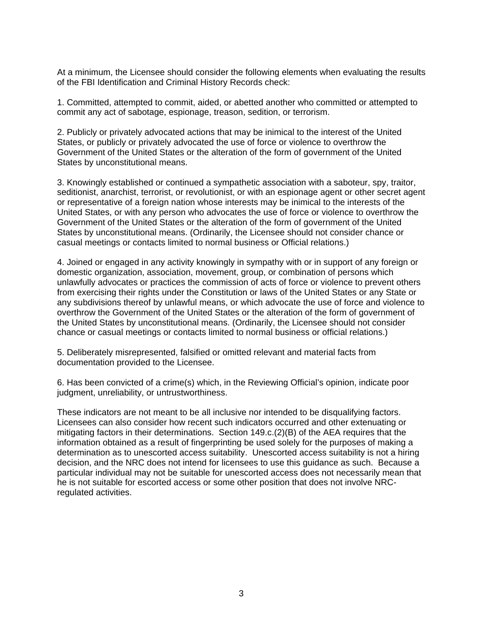At a minimum, the Licensee should consider the following elements when evaluating the results of the FBI Identification and Criminal History Records check:

1. Committed, attempted to commit, aided, or abetted another who committed or attempted to commit any act of sabotage, espionage, treason, sedition, or terrorism.

2. Publicly or privately advocated actions that may be inimical to the interest of the United States, or publicly or privately advocated the use of force or violence to overthrow the Government of the United States or the alteration of the form of government of the United States by unconstitutional means.

3. Knowingly established or continued a sympathetic association with a saboteur, spy, traitor, seditionist, anarchist, terrorist, or revolutionist, or with an espionage agent or other secret agent or representative of a foreign nation whose interests may be inimical to the interests of the United States, or with any person who advocates the use of force or violence to overthrow the Government of the United States or the alteration of the form of government of the United States by unconstitutional means. (Ordinarily, the Licensee should not consider chance or casual meetings or contacts limited to normal business or Official relations.)

4. Joined or engaged in any activity knowingly in sympathy with or in support of any foreign or domestic organization, association, movement, group, or combination of persons which unlawfully advocates or practices the commission of acts of force or violence to prevent others from exercising their rights under the Constitution or laws of the United States or any State or any subdivisions thereof by unlawful means, or which advocate the use of force and violence to overthrow the Government of the United States or the alteration of the form of government of the United States by unconstitutional means. (Ordinarily, the Licensee should not consider chance or casual meetings or contacts limited to normal business or official relations.)

5. Deliberately misrepresented, falsified or omitted relevant and material facts from documentation provided to the Licensee.

6. Has been convicted of a crime(s) which, in the Reviewing Official's opinion, indicate poor judgment, unreliability, or untrustworthiness.

These indicators are not meant to be all inclusive nor intended to be disqualifying factors. Licensees can also consider how recent such indicators occurred and other extenuating or mitigating factors in their determinations. Section 149.c.(2)(B) of the AEA requires that the information obtained as a result of fingerprinting be used solely for the purposes of making a determination as to unescorted access suitability. Unescorted access suitability is not a hiring decision, and the NRC does not intend for licensees to use this guidance as such. Because a particular individual may not be suitable for unescorted access does not necessarily mean that he is not suitable for escorted access or some other position that does not involve NRCregulated activities.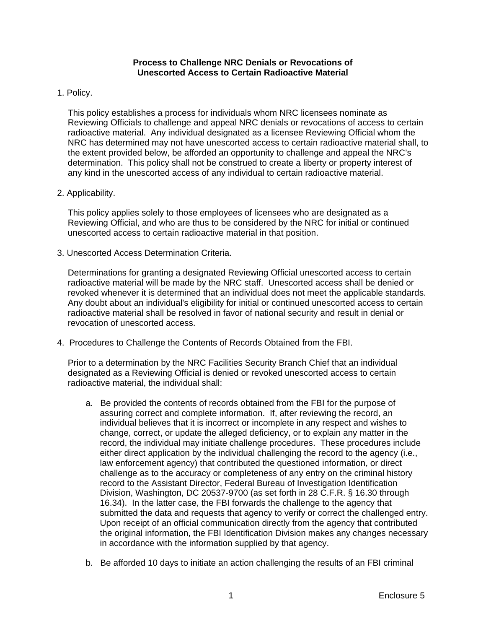### **Process to Challenge NRC Denials or Revocations of Unescorted Access to Certain Radioactive Material**

# 1. Policy.

This policy establishes a process for individuals whom NRC licensees nominate as Reviewing Officials to challenge and appeal NRC denials or revocations of access to certain radioactive material. Any individual designated as a licensee Reviewing Official whom the NRC has determined may not have unescorted access to certain radioactive material shall, to the extent provided below, be afforded an opportunity to challenge and appeal the NRC's determination. This policy shall not be construed to create a liberty or property interest of any kind in the unescorted access of any individual to certain radioactive material.

# 2. Applicability.

This policy applies solely to those employees of licensees who are designated as a Reviewing Official, and who are thus to be considered by the NRC for initial or continued unescorted access to certain radioactive material in that position.

3. Unescorted Access Determination Criteria.

Determinations for granting a designated Reviewing Official unescorted access to certain radioactive material will be made by the NRC staff. Unescorted access shall be denied or revoked whenever it is determined that an individual does not meet the applicable standards. Any doubt about an individual's eligibility for initial or continued unescorted access to certain radioactive material shall be resolved in favor of national security and result in denial or revocation of unescorted access.

4. Procedures to Challenge the Contents of Records Obtained from the FBI.

Prior to a determination by the NRC Facilities Security Branch Chief that an individual designated as a Reviewing Official is denied or revoked unescorted access to certain radioactive material, the individual shall:

- a. Be provided the contents of records obtained from the FBI for the purpose of assuring correct and complete information. If, after reviewing the record, an individual believes that it is incorrect or incomplete in any respect and wishes to change, correct, or update the alleged deficiency, or to explain any matter in the record, the individual may initiate challenge procedures. These procedures include either direct application by the individual challenging the record to the agency (i.e., law enforcement agency) that contributed the questioned information, or direct challenge as to the accuracy or completeness of any entry on the criminal history record to the Assistant Director, Federal Bureau of Investigation Identification Division, Washington, DC 20537-9700 (as set forth in 28 C.F.R. § 16.30 through 16.34). In the latter case, the FBI forwards the challenge to the agency that submitted the data and requests that agency to verify or correct the challenged entry. Upon receipt of an official communication directly from the agency that contributed the original information, the FBI Identification Division makes any changes necessary in accordance with the information supplied by that agency.
- b. Be afforded 10 days to initiate an action challenging the results of an FBI criminal